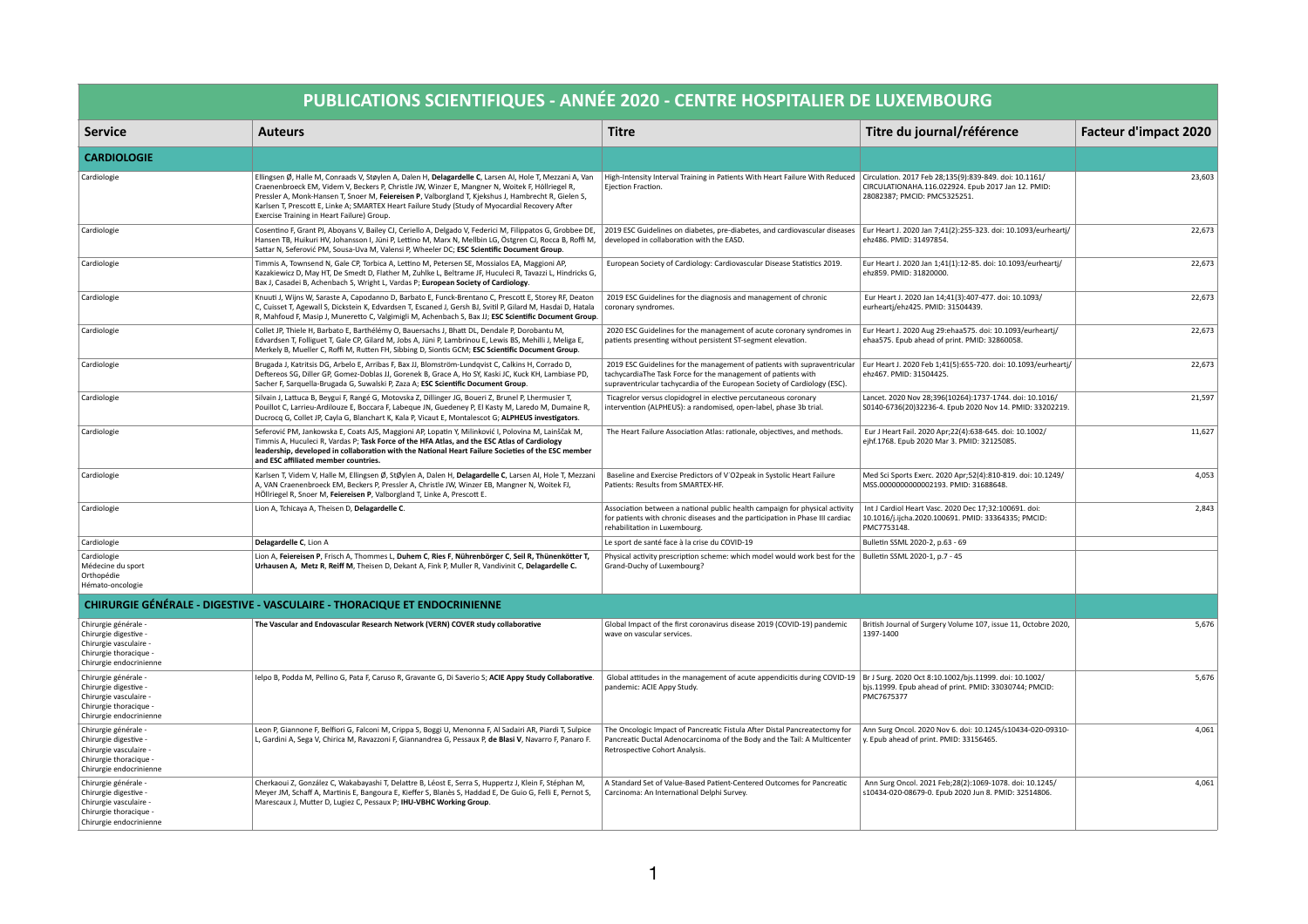|                                                                                                                              | PUBLICATIONS SCIENTIFIQUES - ANNÉE 2020 - CENTRE HOSPITALIER DE LUXEMBOURG                                                                                                                                                                                                                                                                                                                                                                                         |                                                                                                                                                                                                                        |                                                                                                                                              |                              |
|------------------------------------------------------------------------------------------------------------------------------|--------------------------------------------------------------------------------------------------------------------------------------------------------------------------------------------------------------------------------------------------------------------------------------------------------------------------------------------------------------------------------------------------------------------------------------------------------------------|------------------------------------------------------------------------------------------------------------------------------------------------------------------------------------------------------------------------|----------------------------------------------------------------------------------------------------------------------------------------------|------------------------------|
| <b>Service</b>                                                                                                               | <b>Auteurs</b>                                                                                                                                                                                                                                                                                                                                                                                                                                                     | <b>Titre</b>                                                                                                                                                                                                           | Titre du journal/référence                                                                                                                   | <b>Facteur d'impact 2020</b> |
| <b>CARDIOLOGIE</b>                                                                                                           |                                                                                                                                                                                                                                                                                                                                                                                                                                                                    |                                                                                                                                                                                                                        |                                                                                                                                              |                              |
| Cardiologie                                                                                                                  | Ellingsen Ø, Halle M, Conraads V, Støylen A, Dalen H, Delagardelle C, Larsen AI, Hole T, Mezzani A, Van<br>Craenenbroeck EM, Videm V, Beckers P, Christle JW, Winzer E, Mangner N, Woitek F, Höllriegel R,<br>Pressler A, Monk-Hansen T, Snoer M, Feiereisen P, Valborgland T, Kjekshus J, Hambrecht R, Gielen S,<br>Karlsen T, Prescott E, Linke A; SMARTEX Heart Failure Study (Study of Myocardial Recovery After<br>Exercise Training in Heart Failure) Group. | High-Intensity Interval Training in Patients With Heart Failure With Reduced<br>Ejection Fraction.                                                                                                                     | Circulation. 2017 Feb 28;135(9):839-849. doi: 10.1161/<br>CIRCULATIONAHA.116.022924. Epub 2017 Jan 12. PMID:<br>28082387; PMCID: PMC5325251. | 23,603                       |
| Cardiologie                                                                                                                  | Cosentino F, Grant PJ, Aboyans V, Bailey CJ, Ceriello A, Delgado V, Federici M, Filippatos G, Grobbee DE,<br>Hansen TB, Huikuri HV, Johansson I, Jüni P, Lettino M, Marx N, Mellbin LG, Östgren CJ, Rocca B, Roffi M,<br>Sattar N, Seferović PM, Sousa-Uva M, Valensi P, Wheeler DC; ESC Scientific Document Group.                                                                                                                                                | 2019 ESC Guidelines on diabetes, pre-diabetes, and cardiovascular diseases<br>developed in collaboration with the EASD.                                                                                                | Eur Heart J. 2020 Jan 7;41(2):255-323. doi: 10.1093/eurheartj/<br>ehz486. PMID: 31497854.                                                    | 22,673                       |
| Cardiologie                                                                                                                  | Timmis A, Townsend N, Gale CP, Torbica A, Lettino M, Petersen SE, Mossialos EA, Maggioni AP,<br>Kazakiewicz D, May HT, De Smedt D, Flather M, Zuhlke L, Beltrame JF, Huculeci R, Tavazzi L, Hindricks G,<br>Bax J, Casadei B, Achenbach S, Wright L, Vardas P; European Society of Cardiology.                                                                                                                                                                     | European Society of Cardiology: Cardiovascular Disease Statistics 2019.                                                                                                                                                | Eur Heart J. 2020 Jan 1;41(1):12-85. doi: 10.1093/eurheartj/<br>ehz859. PMID: 31820000.                                                      | 22,673                       |
| Cardiologie                                                                                                                  | Knuuti J, Wijns W, Saraste A, Capodanno D, Barbato E, Funck-Brentano C, Prescott E, Storey RF, Deaton<br>C, Cuisset T, Agewall S, Dickstein K, Edvardsen T, Escaned J, Gersh BJ, Svitil P, Gilard M, Hasdai D, Hatala<br>R, Mahfoud F, Masip J, Muneretto C, Valgimigli M, Achenbach S, Bax JJ; ESC Scientific Document Group.                                                                                                                                     | 2019 ESC Guidelines for the diagnosis and management of chronic<br>coronary syndromes.                                                                                                                                 | Eur Heart J. 2020 Jan 14;41(3):407-477. doi: 10.1093/<br>eurheartj/ehz425. PMID: 31504439.                                                   | 22,673                       |
| Cardiologie                                                                                                                  | Collet JP, Thiele H, Barbato E, Barthélémy O, Bauersachs J, Bhatt DL, Dendale P, Dorobantu M,<br>Edvardsen T, Folliguet T, Gale CP, Gilard M, Jobs A, Jüni P, Lambrinou E, Lewis BS, Mehilli J, Meliga E,<br>Merkely B, Mueller C, Roffi M, Rutten FH, Sibbing D, Siontis GCM; ESC Scientific Document Group.                                                                                                                                                      | 2020 ESC Guidelines for the management of acute coronary syndromes in<br>patients presenting without persistent ST-segment elevation.                                                                                  | Eur Heart J. 2020 Aug 29: ehaa575. doi: 10.1093/eurheartj/<br>ehaa575. Epub ahead of print. PMID: 32860058.                                  | 22,673                       |
| Cardiologie                                                                                                                  | Brugada J, Katritsis DG, Arbelo E, Arribas F, Bax JJ, Blomström-Lundqvist C, Calkins H, Corrado D,<br>Deftereos SG, Diller GP, Gomez-Doblas JJ, Gorenek B, Grace A, Ho SY, Kaski JC, Kuck KH, Lambiase PD,<br>Sacher F, Sarquella-Brugada G, Suwalski P, Zaza A; ESC Scientific Document Group.                                                                                                                                                                    | 2019 ESC Guidelines for the management of patients with supraventricular<br>tachycardiaThe Task Force for the management of patients with<br>supraventricular tachycardia of the European Society of Cardiology (ESC). | Eur Heart J. 2020 Feb 1;41(5):655-720. doi: 10.1093/eurheartj/<br>ehz467. PMID: 31504425.                                                    | 22,673                       |
| Cardiologie                                                                                                                  | Silvain J, Lattuca B, Beygui F, Rangé G, Motovska Z, Dillinger JG, Boueri Z, Brunel P, Lhermusier T,<br>Pouillot C, Larrieu-Ardilouze E, Boccara F, Labeque JN, Guedeney P, El Kasty M, Laredo M, Dumaine R,<br>Ducrocq G, Collet JP, Cayla G, Blanchart K, Kala P, Vicaut E, Montalescot G; ALPHEUS investigators.                                                                                                                                                | Ticagrelor versus clopidogrel in elective percutaneous coronary<br>intervention (ALPHEUS): a randomised, open-label, phase 3b trial.                                                                                   | Lancet. 2020 Nov 28;396(10264):1737-1744. doi: 10.1016/<br>S0140-6736(20)32236-4. Epub 2020 Nov 14. PMID: 33202219.                          | 21,597                       |
| Cardiologie                                                                                                                  | Seferović PM, Jankowska E, Coats AJS, Maggioni AP, Lopatin Y, Milinković I, Polovina M, Lainščak M,<br>Timmis A, Huculeci R, Vardas P; Task Force of the HFA Atlas, and the ESC Atlas of Cardiology<br>leadership, developed in collaboration with the National Heart Failure Societies of the ESC member<br>and ESC affiliated member countries.                                                                                                                  | The Heart Failure Association Atlas: rationale, objectives, and methods.                                                                                                                                               | Eur J Heart Fail. 2020 Apr; 22(4): 638-645. doi: 10.1002/<br>ejhf.1768. Epub 2020 Mar 3. PMID: 32125085.                                     | 11,627                       |
| Cardiologie                                                                                                                  | Karlsen T, Videm V, Halle M, Ellingsen Ø, StØylen A, Dalen H, Delagardelle C, Larsen AI, Hole T, Mezzani<br>A, VAN Craenenbroeck EM, Beckers P, Pressler A, Christle JW, Winzer EB, Mangner N, Woitek FJ,<br>HÖllriegel R, Snoer M, Feiereisen P, Valborgland T, Linke A, Prescott E.                                                                                                                                                                              | Baseline and Exercise Predictors of V'O2peak in Systolic Heart Failure<br>Patients: Results from SMARTEX-HF.                                                                                                           | Med Sci Sports Exerc. 2020 Apr;52(4):810-819. doi: 10.1249/<br>MSS.0000000000002193. PMID: 31688648.                                         | 4,053                        |
| Cardiologie                                                                                                                  | Lion A, Tchicaya A, Theisen D, Delagardelle C.                                                                                                                                                                                                                                                                                                                                                                                                                     | Association between a national public health campaign for physical activity<br>for patients with chronic diseases and the participation in Phase III cardiac<br>rehabilitation in Luxembourg.                          | Int J Cardiol Heart Vasc. 2020 Dec 17;32:100691. doi:<br>10.1016/j.ijcha.2020.100691. PMID: 33364335; PMCID:<br>PMC7753148.                  | 2,843                        |
| Cardiologie                                                                                                                  | Delagardelle C, Lion A                                                                                                                                                                                                                                                                                                                                                                                                                                             | Le sport de santé face à la crise du COVID-19                                                                                                                                                                          | Bulletin SSML 2020-2, p.63 - 69                                                                                                              |                              |
| Cardiologie<br>Médecine du sport<br>Orthopédie<br>Hémato-oncologie                                                           | Lion A, Feiereisen P, Frisch A, Thommes L, Duhem C, Ries F, Nührenbörger C, Seil R, Thünenkötter 1<br>Urhausen A, Metz R, Reiff M, Theisen D, Dekant A, Fink P, Muller R, Vandivinit C, Delagardelle C.                                                                                                                                                                                                                                                            | Physical activity prescription scheme: which model would work best for the<br>Grand-Duchy of Luxembourg?                                                                                                               | Bulletin SSML 2020-1, p.7 - 45                                                                                                               |                              |
|                                                                                                                              | CHIRURGIE GÉNÉRALE - DIGESTIVE - VASCULAIRE - THORACIQUE ET ENDOCRINIENNE                                                                                                                                                                                                                                                                                                                                                                                          |                                                                                                                                                                                                                        |                                                                                                                                              |                              |
| Chirurgie générale -<br>Chirurgie digestive -<br>Chirurgie vasculaire -<br>Chirurgie thoracique -<br>Chirurgie endocrinienne | The Vascular and Endovascular Research Network (VERN) COVER study collaborative                                                                                                                                                                                                                                                                                                                                                                                    | Global Impact of the first coronavirus disease 2019 (COVID-19) pandemic<br>wave on vascular services.                                                                                                                  | British Journal of Surgery Volume 107, issue 11, Octobre 2020,<br>1397-1400                                                                  | 5,676                        |
| Chirurgie générale<br>Chirurgie digestive -<br>Chirurgie vasculaire -<br>Chirurgie thoracique -<br>Chirurgie endocrinienne   | Ielpo B, Podda M, Pellino G, Pata F, Caruso R, Gravante G, Di Saverio S; ACIE Appy Study Collaborative.                                                                                                                                                                                                                                                                                                                                                            | Global attitudes in the management of acute appendicitis during COVID-19<br>pandemic: ACIE Appy Study.                                                                                                                 | Br J Surg. 2020 Oct 8:10.1002/bjs.11999. doi: 10.1002/<br>bjs.11999. Epub ahead of print. PMID: 33030744; PMCID:<br>PMC7675377               | 5,676                        |
| Chirurgie générale -<br>Chirurgie digestive -<br>Chirurgie vasculaire -<br>Chirurgie thoracique -<br>Chirurgie endocrinienne | Leon P, Giannone F, Belfiori G, Falconi M, Crippa S, Boggi U, Menonna F, Al Sadairi AR, Piardi T, Sulpice<br>L, Gardini A, Sega V, Chirica M, Ravazzoni F, Giannandrea G, Pessaux P, de Blasi V, Navarro F, Panaro F.                                                                                                                                                                                                                                              | The Oncologic Impact of Pancreatic Fistula After Distal Pancreatectomy for<br>Pancreatic Ductal Adenocarcinoma of the Body and the Tail: A Multicenter<br>Retrospective Cohort Analysis.                               | Ann Surg Oncol. 2020 Nov 6. doi: 10.1245/s10434-020-09310-<br>y. Epub ahead of print. PMID: 33156465.                                        | 4,061                        |
| Chirurgie générale -<br>Chirurgie digestive -<br>Chirurgie vasculaire -<br>Chirurgie thoracique -<br>Chirurgie endocrinienne | Cherkaoui Z, González C, Wakabayashi T, Delattre B, Léost E, Serra S, Huppertz J, Klein F, Stéphan M,<br>Meyer JM, Schaff A, Martinis E, Bangoura E, Kieffer S, Blanès S, Haddad E, De Guio G, Felli E, Pernot S,<br>Marescaux J, Mutter D, Lugiez C, Pessaux P; IHU-VBHC Working Group.                                                                                                                                                                           | A Standard Set of Value-Based Patient-Centered Outcomes for Pancreatic<br>Carcinoma: An International Delphi Survey.                                                                                                   | Ann Surg Oncol. 2021 Feb; 28(2): 1069-1078. doi: 10.1245/<br>s10434-020-08679-0. Epub 2020 Jun 8. PMID: 32514806.                            | 4,061                        |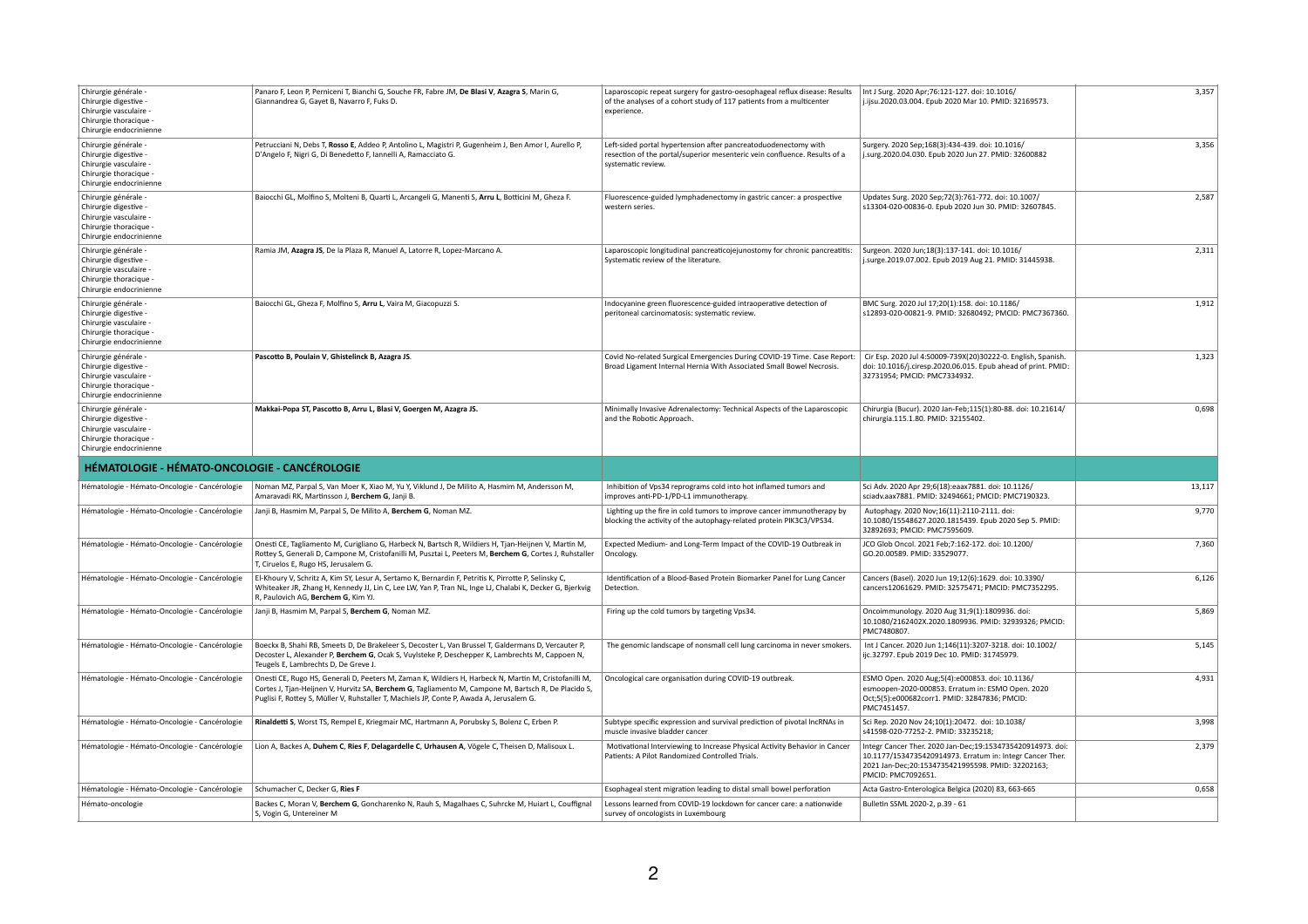| Chirurgie générale -<br>Chirurgie digestive -<br>Chirurgie vasculaire -<br>Chirurgie thoracique -<br>Chirurgie endocrinienne | Panaro F, Leon P, Perniceni T, Bianchi G, Souche FR, Fabre JM, De Blasi V, Azagra S, Marin G,<br>Giannandrea G, Gayet B, Navarro F, Fuks D.                                                                                                                                                              | Laparoscopic repeat surgery for gastro-oesophageal reflux disease: Results<br>of the analyses of a cohort study of 117 patients from a multicenter<br>experience.  | Int J Surg. 2020 Apr;76:121-127. doi: 10.1016/<br>j.ijsu.2020.03.004. Epub 2020 Mar 10. PMID: 32169573.                                                                                            | 3,357  |
|------------------------------------------------------------------------------------------------------------------------------|----------------------------------------------------------------------------------------------------------------------------------------------------------------------------------------------------------------------------------------------------------------------------------------------------------|--------------------------------------------------------------------------------------------------------------------------------------------------------------------|----------------------------------------------------------------------------------------------------------------------------------------------------------------------------------------------------|--------|
| Chirurgie générale -<br>Chirurgie digestive -<br>Chirurgie vasculaire -<br>Chirurgie thoracique -<br>Chirurgie endocrinienne | Petrucciani N, Debs T, Rosso E, Addeo P, Antolino L, Magistri P, Gugenheim J, Ben Amor I, Aurello P,<br>D'Angelo F, Nigri G, Di Benedetto F, Iannelli A, Ramacciato G.                                                                                                                                   | Left-sided portal hypertension after pancreatoduodenectomy with<br>resection of the portal/superior mesenteric vein confluence. Results of a<br>systematic review. | Surgery. 2020 Sep;168(3):434-439. doi: 10.1016/<br>j.surg.2020.04.030. Epub 2020 Jun 27. PMID: 32600882                                                                                            | 3,356  |
| Chirurgie générale -<br>Chirurgie digestive -<br>Chirurgie vasculaire -<br>Chirurgie thoracique -<br>Chirurgie endocrinienne | Baiocchi GL, Molfino S, Molteni B, Quarti L, Arcangeli G, Manenti S, Arru L, Botticini M, Gheza F.                                                                                                                                                                                                       | Fluorescence-guided lymphadenectomy in gastric cancer: a prospective<br>western series.                                                                            | Updates Surg. 2020 Sep;72(3):761-772. doi: 10.1007/<br>s13304-020-00836-0. Epub 2020 Jun 30. PMID: 32607845.                                                                                       | 2,587  |
| Chirurgie générale -<br>Chirurgie digestive -<br>Chirurgie vasculaire -<br>Chirurgie thoracique -<br>Chirurgie endocrinienne | Ramia JM, Azagra JS, De la Plaza R, Manuel A, Latorre R, Lopez-Marcano A.                                                                                                                                                                                                                                | Laparoscopic longitudinal pancreaticojejunostomy for chronic pancreatitis:<br>Systematic review of the literature.                                                 | Surgeon. 2020 Jun;18(3):137-141. doi: 10.1016/<br>j.surge.2019.07.002. Epub 2019 Aug 21. PMID: 31445938.                                                                                           | 2,311  |
| Chirurgie générale -<br>Chirurgie digestive -<br>Chirurgie vasculaire -<br>Chirurgie thoracique -<br>Chirurgie endocrinienne | Baiocchi GL, Gheza F, Molfino S, Arru L, Vaira M, Giacopuzzi S.                                                                                                                                                                                                                                          | Indocyanine green fluorescence-guided intraoperative detection of<br>peritoneal carcinomatosis: systematic review.                                                 | BMC Surg. 2020 Jul 17;20(1):158. doi: 10.1186/<br>s12893-020-00821-9. PMID: 32680492; PMCID: PMC7367360.                                                                                           | 1,912  |
| Chirurgie générale -<br>Chirurgie digestive -<br>Chirurgie vasculaire -<br>Chirurgie thoracique -<br>Chirurgie endocrinienne | Pascotto B, Poulain V, Ghistelinck B, Azagra JS.                                                                                                                                                                                                                                                         | Covid No-related Surgical Emergencies During COVID-19 Time. Case Report:<br>Broad Ligament Internal Hernia With Associated Small Bowel Necrosis.                   | Cir Esp. 2020 Jul 4:S0009-739X(20)30222-0. English, Spanish.<br>doi: 10.1016/j.ciresp.2020.06.015. Epub ahead of print. PMID:<br>32731954; PMCID: PMC7334932.                                      | 1,323  |
| Chirurgie générale -<br>Chirurgie digestive -<br>Chirurgie vasculaire -<br>Chirurgie thoracique -<br>Chirurgie endocrinienne | Makkai-Popa ST, Pascotto B, Arru L, Blasi V, Goergen M, Azagra JS.                                                                                                                                                                                                                                       | Minimally Invasive Adrenalectomy: Technical Aspects of the Laparoscopic<br>and the Robotic Approach.                                                               | Chirurgia (Bucur). 2020 Jan-Feb;115(1):80-88. doi: 10.21614/<br>chirurgia.115.1.80. PMID: 32155402.                                                                                                | 0,698  |
|                                                                                                                              |                                                                                                                                                                                                                                                                                                          |                                                                                                                                                                    |                                                                                                                                                                                                    |        |
| <b>HÉMATOLOGIE - HÉMATO-ONCOLOGIE - CANCÉROLOGIE</b>                                                                         |                                                                                                                                                                                                                                                                                                          |                                                                                                                                                                    |                                                                                                                                                                                                    |        |
| Hématologie - Hémato-Oncologie - Cancérologie                                                                                | Noman MZ, Parpal S, Van Moer K, Xiao M, Yu Y, Viklund J, De Milito A, Hasmim M, Andersson M,<br>Amaravadi RK, Martinsson J, Berchem G, Janji B.                                                                                                                                                          | Inhibition of Vps34 reprograms cold into hot inflamed tumors and<br>improves anti-PD-1/PD-L1 immunotherapy.                                                        | Sci Adv. 2020 Apr 29;6(18):eaax7881. doi: 10.1126/<br>sciadv.aax7881. PMID: 32494661; PMCID: PMC7190323.                                                                                           | 13,117 |
| Hématologie - Hémato-Oncologie - Cancérologie                                                                                | Janji B, Hasmim M, Parpal S, De Milito A, Berchem G, Noman MZ.                                                                                                                                                                                                                                           | Lighting up the fire in cold tumors to improve cancer immunotherapy by<br>blocking the activity of the autophagy-related protein PIK3C3/VPS34.                     | Autophagy. 2020 Nov;16(11):2110-2111. doi:<br>10.1080/15548627.2020.1815439. Epub 2020 Sep 5. PMID:<br>32892693; PMCID: PMC7595609.                                                                | 9,770  |
| Hématologie - Hémato-Oncologie - Cancérologie                                                                                | Onesti CE, Tagliamento M, Curigliano G, Harbeck N, Bartsch R, Wildiers H, Tjan-Heijnen V, Martin M,<br>Rottey S, Generali D, Campone M, Cristofanilli M, Pusztai L, Peeters M, Berchem G, Cortes J, Ruhstaller<br>T, Ciruelos E, Rugo HS, Jerusalem G.                                                   | Expected Medium- and Long-Term Impact of the COVID-19 Outbreak in<br>Oncology.                                                                                     | JCO Glob Oncol. 2021 Feb; 7:162-172. doi: 10.1200/<br>GO.20.00589. PMID: 33529077.                                                                                                                 | 7,360  |
| Hématologie - Hémato-Oncologie - Cancérologie                                                                                | El-Khoury V, Schritz A, Kim SY, Lesur A, Sertamo K, Bernardin F, Petritis K, Pirrotte P, Selinsky C,<br>Whiteaker JR, Zhang H, Kennedy JJ, Lin C, Lee LW, Yan P, Tran NL, Inge LJ, Chalabi K, Decker G, Bjerkvig<br>R, Paulovich AG, Berchem G, Kim YJ.                                                  | Identification of a Blood-Based Protein Biomarker Panel for Lung Cancer<br>Detection.                                                                              | Cancers (Basel). 2020 Jun 19;12(6):1629. doi: 10.3390/<br>cancers12061629. PMID: 32575471; PMCID: PMC7352295.                                                                                      | 6,126  |
| Hématologie - Hémato-Oncologie - Cancérologie                                                                                | Janji B, Hasmim M, Parpal S, Berchem G, Noman MZ.                                                                                                                                                                                                                                                        | Firing up the cold tumors by targeting Vps34.                                                                                                                      | Oncoimmunology. 2020 Aug 31;9(1):1809936. doi:<br>10.1080/2162402X.2020.1809936. PMID: 32939326; PMCID:<br>PMC7480807.                                                                             | 5,869  |
| Hématologie - Hémato-Oncologie - Cancérologie                                                                                | Boeckx B, Shahi RB, Smeets D, De Brakeleer S, Decoster L, Van Brussel T, Galdermans D, Vercauter P,<br>Decoster L, Alexander P, Berchem G, Ocak S, Vuylsteke P, Deschepper K, Lambrechts M, Cappoen N,<br>Teugels E, Lambrechts D, De Greve J.                                                           | The genomic landscape of nonsmall cell lung carcinoma in never smokers.                                                                                            | Int J Cancer. 2020 Jun 1;146(11):3207-3218. doi: 10.1002/<br>ijc.32797. Epub 2019 Dec 10. PMID: 31745979.                                                                                          | 5,145  |
| Hématologie - Hémato-Oncologie - Cancérologie                                                                                | Onesti CE, Rugo HS, Generali D, Peeters M, Zaman K, Wildiers H, Harbeck N, Martin M, Cristofanilli M,<br>Cortes J, Tjan-Heijnen V, Hurvitz SA, Berchem G, Tagliamento M, Campone M, Bartsch R, De Placido S,<br>Puglisi F, Rottey S, Müller V, Ruhstaller T, Machiels JP, Conte P, Awada A, Jerusalem G. | Oncological care organisation during COVID-19 outbreak.                                                                                                            | ESMO Open. 2020 Aug;5(4):e000853. doi: 10.1136/<br>esmoopen-2020-000853. Erratum in: ESMO Open. 2020<br>Oct;5(5):e000682corr1. PMID: 32847836; PMCID:<br>PMC7451457.                               | 4,931  |
| Hématologie - Hémato-Oncologie - Cancérologie                                                                                | Rinaldetti S, Worst TS, Rempel E, Kriegmair MC, Hartmann A, Porubsky S, Bolenz C, Erben P.                                                                                                                                                                                                               | Subtype specific expression and survival prediction of pivotal lncRNAs in<br>muscle invasive bladder cancer                                                        | Sci Rep. 2020 Nov 24;10(1):20472. doi: 10.1038/<br>s41598-020-77252-2. PMID: 33235218;                                                                                                             | 3,998  |
| Hématologie - Hémato-Oncologie - Cancérologie                                                                                | Lion A, Backes A, Duhem C, Ries F, Delagardelle C, Urhausen A, Vögele C, Theisen D, Malisoux L.                                                                                                                                                                                                          | Motivational Interviewing to Increase Physical Activity Behavior in Cancer<br>Patients: A Pilot Randomized Controlled Trials.                                      | Integr Cancer Ther. 2020 Jan-Dec;19:1534735420914973. doi:<br>10.1177/1534735420914973. Erratum in: Integr Cancer Ther.<br>2021 Jan-Dec;20:1534735421995598. PMID: 32202163;<br>PMCID: PMC7092651. | 2,379  |
| Hématologie - Hémato-Oncologie - Cancérologie                                                                                | Schumacher C, Decker G, Ries F                                                                                                                                                                                                                                                                           | Esophageal stent migration leading to distal small bowel perforation                                                                                               | Acta Gastro-Enterologica Belgica (2020) 83, 663-665                                                                                                                                                | 0,658  |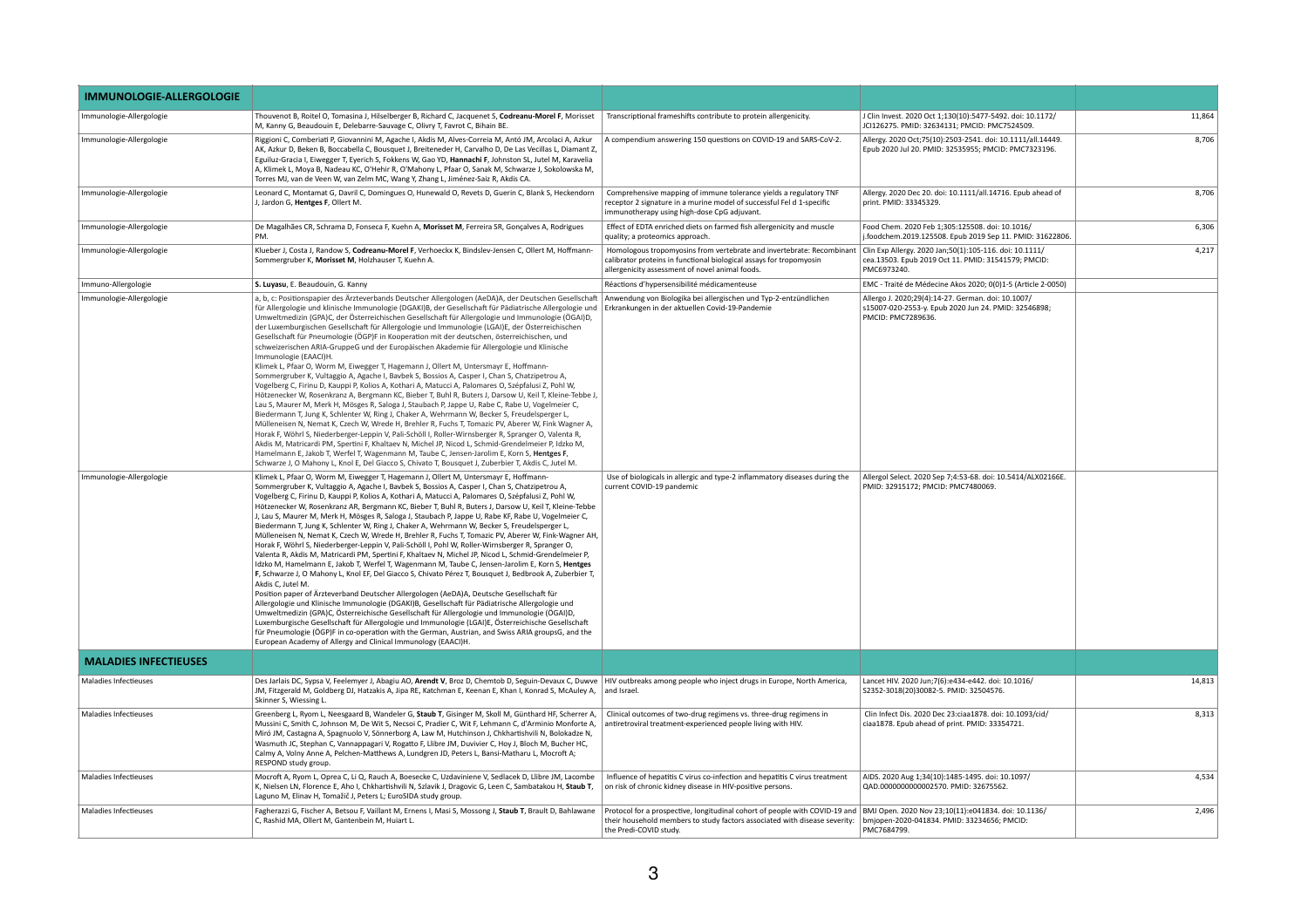| <b>IMMUNOLOGIE-ALLERGOLOGIE</b> |                                                                                                                                                                                                                                                                                                                                                                                                                                                                                                                                                                                                                                                                                                                                                                                                                                                                                                                                                                                                                                                                                                                                                                                                                                                                                                                                                                                                                                                                                                                                                                                                                                                                                                                                                                                       |                                                                                                                                                                                                 |                                                                                                                                  |        |
|---------------------------------|---------------------------------------------------------------------------------------------------------------------------------------------------------------------------------------------------------------------------------------------------------------------------------------------------------------------------------------------------------------------------------------------------------------------------------------------------------------------------------------------------------------------------------------------------------------------------------------------------------------------------------------------------------------------------------------------------------------------------------------------------------------------------------------------------------------------------------------------------------------------------------------------------------------------------------------------------------------------------------------------------------------------------------------------------------------------------------------------------------------------------------------------------------------------------------------------------------------------------------------------------------------------------------------------------------------------------------------------------------------------------------------------------------------------------------------------------------------------------------------------------------------------------------------------------------------------------------------------------------------------------------------------------------------------------------------------------------------------------------------------------------------------------------------|-------------------------------------------------------------------------------------------------------------------------------------------------------------------------------------------------|----------------------------------------------------------------------------------------------------------------------------------|--------|
| Immunologie-Allergologie        | Thouvenot B, Roitel O, Tomasina J, Hilselberger B, Richard C, Jacquenet S, Codreanu-Morel F, Morisset<br>M, Kanny G, Beaudouin E, Delebarre-Sauvage C, Olivry T, Favrot C, Bihain BE.                                                                                                                                                                                                                                                                                                                                                                                                                                                                                                                                                                                                                                                                                                                                                                                                                                                                                                                                                                                                                                                                                                                                                                                                                                                                                                                                                                                                                                                                                                                                                                                                 | Transcriptional frameshifts contribute to protein allergenicity.                                                                                                                                | J Clin Invest. 2020 Oct 1;130(10):5477-5492. doi: 10.1172/<br>JCI126275. PMID: 32634131; PMCID: PMC7524509.                      | 11,864 |
| Immunologie-Allergologie        | Riggioni C, Comberiati P, Giovannini M, Agache I, Akdis M, Alves-Correia M, Antó JM, Arcolaci A, Azkur<br>AK, Azkur D, Beken B, Boccabella C, Bousquet J, Breiteneder H, Carvalho D, De Las Vecillas L, Diamant Z,<br>Eguiluz-Gracia I, Eiwegger T, Eyerich S, Fokkens W, Gao YD, Hannachi F, Johnston SL, Jutel M, Karavelia<br>A, Klimek L, Moya B, Nadeau KC, O'Hehir R, O'Mahony L, Pfaar O, Sanak M, Schwarze J, Sokolowska M,<br>Torres MJ, van de Veen W, van Zelm MC, Wang Y, Zhang L, Jiménez-Saiz R, Akdis CA.                                                                                                                                                                                                                                                                                                                                                                                                                                                                                                                                                                                                                                                                                                                                                                                                                                                                                                                                                                                                                                                                                                                                                                                                                                                              | A compendium answering 150 questions on COVID-19 and SARS-CoV-2.                                                                                                                                | Allergy. 2020 Oct; 75(10): 2503-2541. doi: 10.1111/all.14449.<br>Epub 2020 Jul 20. PMID: 32535955; PMCID: PMC7323196.            | 8,706  |
| Immunologie-Allergologie        | Leonard C, Montamat G, Davril C, Domingues O, Hunewald O, Revets D, Guerin C, Blank S, Heckendorn<br>J, Jardon G, Hentges F, Ollert M.                                                                                                                                                                                                                                                                                                                                                                                                                                                                                                                                                                                                                                                                                                                                                                                                                                                                                                                                                                                                                                                                                                                                                                                                                                                                                                                                                                                                                                                                                                                                                                                                                                                | Comprehensive mapping of immune tolerance yields a regulatory TNF<br>receptor 2 signature in a murine model of successful Fel d 1-specific<br>immunotherapy using high-dose CpG adjuvant.       | Allergy. 2020 Dec 20. doi: 10.1111/all.14716. Epub ahead of<br>print. PMID: 33345329.                                            | 8,706  |
| Immunologie-Allergologie        | De Magalhães CR, Schrama D, Fonseca F, Kuehn A, Morisset M, Ferreira SR, Gonçalves A, Rodrigues<br>PM.                                                                                                                                                                                                                                                                                                                                                                                                                                                                                                                                                                                                                                                                                                                                                                                                                                                                                                                                                                                                                                                                                                                                                                                                                                                                                                                                                                                                                                                                                                                                                                                                                                                                                | Effect of EDTA enriched diets on farmed fish allergenicity and muscle<br>quality; a proteomics approach.                                                                                        | Food Chem. 2020 Feb 1;305:125508. doi: 10.1016/<br>j.foodchem.2019.125508. Epub 2019 Sep 11. PMID: 31622806.                     | 6,306  |
| Immunologie-Allergologie        | Klueber J, Costa J, Randow S, Codreanu-Morel F, Verhoeckx K, Bindslev-Jensen C, Ollert M, Hoffmann-<br>Sommergruber K, Morisset M, Holzhauser T, Kuehn A.                                                                                                                                                                                                                                                                                                                                                                                                                                                                                                                                                                                                                                                                                                                                                                                                                                                                                                                                                                                                                                                                                                                                                                                                                                                                                                                                                                                                                                                                                                                                                                                                                             | Homologous tropomyosins from vertebrate and invertebrate: Recombinant<br>calibrator proteins in functional biological assays for tropomyosin<br>allergenicity assessment of novel animal foods. | Clin Exp Allergy. 2020 Jan;50(1):105-116. doi: 10.1111/<br>cea.13503. Epub 2019 Oct 11. PMID: 31541579; PMCID:<br>PMC6973240.    | 4,217  |
| Immuno-Allergologie             | S. Luyasu, E. Beaudouin, G. Kanny                                                                                                                                                                                                                                                                                                                                                                                                                                                                                                                                                                                                                                                                                                                                                                                                                                                                                                                                                                                                                                                                                                                                                                                                                                                                                                                                                                                                                                                                                                                                                                                                                                                                                                                                                     | Réactions d'hypersensibilité médicamenteuse                                                                                                                                                     | EMC - Traité de Médecine Akos 2020; 0(0)1-5 (Article 2-0050)                                                                     |        |
| Immunologie-Allergologie        | a, b, c: Positionspapier des Ärzteverbands Deutscher Allergologen (AeDA)A, der Deutschen Gesellschaft<br>für Allergologie und klinische Immunologie (DGAKI)B, der Gesellschaft für Pädiatrische Allergologie und<br>Umweltmedizin (GPA)C, der Österreichischen Gesellschaft für Allergologie und Immunologie (ÖGAI)D,<br>der Luxemburgischen Gesellschaft für Allergologie und Immunologie (LGAI)E, der Österreichischen<br>Gesellschaft für Pneumologie (ÖGP)F in Kooperation mit der deutschen, österreichischen, und<br>schweizerischen ARIA-GruppeG und der Europäischen Akademie für Allergologie und Klinische<br>Immunologie (EAACI)H.<br>Klimek L, Pfaar O, Worm M, Eiwegger T, Hagemann J, Ollert M, Untersmayr E, Hoffmann-<br>Sommergruber K, Vultaggio A, Agache I, Bavbek S, Bossios A, Casper I, Chan S, Chatzipetrou A,<br>Vogelberg C, Firinu D, Kauppi P, Kolios A, Kothari A, Matucci A, Palomares O, Szépfalusi Z, Pohl W,<br>Hötzenecker W, Rosenkranz A, Bergmann KC, Bieber T, Buhl R, Buters J, Darsow U, Keil T, Kleine-Tebbe J,<br>Lau S, Maurer M, Merk H, Mösges R, Saloga J, Staubach P, Jappe U, Rabe C, Rabe U, Vogelmeier C,<br>Biedermann T, Jung K, Schlenter W, Ring J, Chaker A, Wehrmann W, Becker S, Freudelsperger L,<br>Mülleneisen N, Nemat K, Czech W, Wrede H, Brehler R, Fuchs T, Tomazic PV, Aberer W, Fink Wagner A,<br>Horak F, Wöhrl S, Niederberger-Leppin V, Pali-Schöll I, Roller-Wirnsberger R, Spranger O, Valenta R,<br>Akdis M, Matricardi PM, Spertini F, Khaltaev N, Michel JP, Nicod L, Schmid-Grendelmeier P, Idzko M,<br>Hamelmann E, Jakob T, Werfel T, Wagenmann M, Taube C, Jensen-Jarolim E, Korn S, Hentges F,<br>Schwarze J, O Mahony L, Knol E, Del Giacco S, Chivato T, Bousquet J, Zuberbier T, Akdis C, Jutel M. | Anwendung von Biologika bei allergischen und Typ-2-entzündlichen<br>Erkrankungen in der aktuellen Covid-19-Pandemie                                                                             | Allergo J. 2020;29(4):14-27. German. doi: 10.1007/<br>s15007-020-2553-y. Epub 2020 Jun 24. PMID: 32546898;<br>PMCID: PMC7289636. |        |
| Immunologie-Allergologie        | Klimek L, Pfaar O, Worm M, Eiwegger T, Hagemann J, Ollert M, Untersmayr E, Hoffmann-<br>Sommergruber K, Vultaggio A, Agache I, Bavbek S, Bossios A, Casper I, Chan S, Chatzipetrou A,<br>Vogelberg C, Firinu D, Kauppi P, Kolios A, Kothari A, Matucci A, Palomares O, Szépfalusi Z, Pohl W,<br>Hötzenecker W, Rosenkranz AR, Bergmann KC, Bieber T, Buhl R, Buters J, Darsow U, Keil T, Kleine-Tebbe<br>J, Lau S, Maurer M, Merk H, Mösges R, Saloga J, Staubach P, Jappe U, Rabe KF, Rabe U, Vogelmeier C,<br>Biedermann T, Jung K, Schlenter W, Ring J, Chaker A, Wehrmann W, Becker S, Freudelsperger L,<br>Mülleneisen N, Nemat K, Czech W, Wrede H, Brehler R, Fuchs T, Tomazic PV, Aberer W, Fink-Wagner AH,<br>Horak F, Wöhrl S, Niederberger-Leppin V, Pali-Schöll I, Pohl W, Roller-Wirnsberger R, Spranger O,<br>Valenta R, Akdis M, Matricardi PM, Spertini F, Khaltaev N, Michel JP, Nicod L, Schmid-Grendelmeier P,<br>Idzko M, Hamelmann E, Jakob T, Werfel T, Wagenmann M, Taube C, Jensen-Jarolim E, Korn S, Hentges<br>F, Schwarze J, O Mahony L, Knol EF, Del Giacco S, Chivato Pérez T, Bousquet J, Bedbrook A, Zuberbier T,<br>Akdis C, Jutel M.<br>Position paper of Ärzteverband Deutscher Allergologen (AeDA)A, Deutsche Gesellschaft für<br>Allergologie und Klinische Immunologie (DGAKI)B, Gesellschaft für Pädiatrische Allergologie und<br>Umweltmedizin (GPA)C, Österreichische Gesellschaft für Allergologie und Immunologie (ÖGAI)D,<br>Luxemburgische Gesellschaft für Allergologie und Immunologie (LGAI)E, Österreichische Gesellschaft<br>für Pneumologie (ÖGP)F in co-operation with the German, Austrian, and Swiss ARIA groupsG, and the<br>European Academy of Allergy and Clinical Immunology (EAACI)H.                                      | Use of biologicals in allergic and type-2 inflammatory diseases during the<br>current COVID-19 pandemic                                                                                         | Allergol Select. 2020 Sep 7;4:53-68. doi: 10.5414/ALX02166E.<br>PMID: 32915172; PMCID: PMC7480069.                               |        |
| <b>MALADIES INFECTIEUSES</b>    |                                                                                                                                                                                                                                                                                                                                                                                                                                                                                                                                                                                                                                                                                                                                                                                                                                                                                                                                                                                                                                                                                                                                                                                                                                                                                                                                                                                                                                                                                                                                                                                                                                                                                                                                                                                       |                                                                                                                                                                                                 |                                                                                                                                  |        |
| <b>Maladies Infectieuses</b>    | Des Jarlais DC, Sypsa V, Feelemyer J, Abagiu AO, Arendt V, Broz D, Chemtob D, Seguin-Devaux C, Duwve   HIV outbreaks among people who inject drugs in Europe, North America,<br>JM, Fitzgerald M, Goldberg DJ, Hatzakis A, Jipa RE, Katchman E, Keenan E, Khan I, Konrad S, McAuley A, and Israel.<br>Skinner S, Wiessing L.                                                                                                                                                                                                                                                                                                                                                                                                                                                                                                                                                                                                                                                                                                                                                                                                                                                                                                                                                                                                                                                                                                                                                                                                                                                                                                                                                                                                                                                          |                                                                                                                                                                                                 | Lancet HIV. 2020 Jun;7(6):e434-e442. doi: 10.1016/<br>S2352-3018(20)30082-5. PMID: 32504576.                                     | 14,813 |
| <b>Maladies Infectieuses</b>    | Greenberg L, Ryom L, Neesgaard B, Wandeler G, Staub T, Gisinger M, Skoll M, Günthard HF, Scherrer A,<br>Mussini C, Smith C, Johnson M, De Wit S, Necsoi C, Pradier C, Wit F, Lehmann C, d'Arminio Monforte A<br>Miró JM, Castagna A, Spagnuolo V, Sönnerborg A, Law M, Hutchinson J, Chkhartishvili N, Bolokadze N,<br>Wasmuth JC, Stephan C, Vannappagari V, Rogatto F, Llibre JM, Duvivier C, Hoy J, Bloch M, Bucher HC,<br>Calmy A, Volny Anne A, Pelchen-Matthews A, Lundgren JD, Peters L, Bansi-Matharu L, Mocroft A;<br>RESPOND study group.                                                                                                                                                                                                                                                                                                                                                                                                                                                                                                                                                                                                                                                                                                                                                                                                                                                                                                                                                                                                                                                                                                                                                                                                                                   | Clinical outcomes of two-drug regimens vs. three-drug regimens in<br>antiretroviral treatment-experienced people living with HIV.                                                               | Clin Infect Dis. 2020 Dec 23:ciaa1878. doi: 10.1093/cid/<br>ciaa1878. Epub ahead of print. PMID: 33354721.                       | 8,313  |
| <b>Maladies Infectieuses</b>    | Mocroft A, Ryom L, Oprea C, Li Q, Rauch A, Boesecke C, Uzdaviniene V, Sedlacek D, Llibre JM, Lacombe<br>K, Nielsen LN, Florence E, Aho I, Chkhartishvili N, Szlavik J, Dragovic G, Leen C, Sambatakou H, Staub T,<br>Laguno M, Elinav H, Tomažič J, Peters L; EuroSIDA study group.                                                                                                                                                                                                                                                                                                                                                                                                                                                                                                                                                                                                                                                                                                                                                                                                                                                                                                                                                                                                                                                                                                                                                                                                                                                                                                                                                                                                                                                                                                   | Influence of hepatitis C virus co-infection and hepatitis C virus treatment<br>on risk of chronic kidney disease in HIV-positive persons.                                                       | AIDS. 2020 Aug 1;34(10):1485-1495. doi: 10.1097/<br>QAD.0000000000002570. PMID: 32675562.                                        | 4,534  |
| Maladies Infectieuses           | Fagherazzi G, Fischer A, Betsou F, Vaillant M, Ernens I, Masi S, Mossong J, Staub T, Brault D, Bahlawane<br>C, Rashid MA, Ollert M, Gantenbein M, Huiart L.                                                                                                                                                                                                                                                                                                                                                                                                                                                                                                                                                                                                                                                                                                                                                                                                                                                                                                                                                                                                                                                                                                                                                                                                                                                                                                                                                                                                                                                                                                                                                                                                                           | Protocol for a prospective, longitudinal cohort of people with COVID-19 and<br>their household members to study factors associated with disease severity:<br>the Predi-COVID study.             | BMJ Open. 2020 Nov 23;10(11):e041834. doi: 10.1136/<br>bmjopen-2020-041834. PMID: 33234656; PMCID:<br>PMC7684799.                | 2,496  |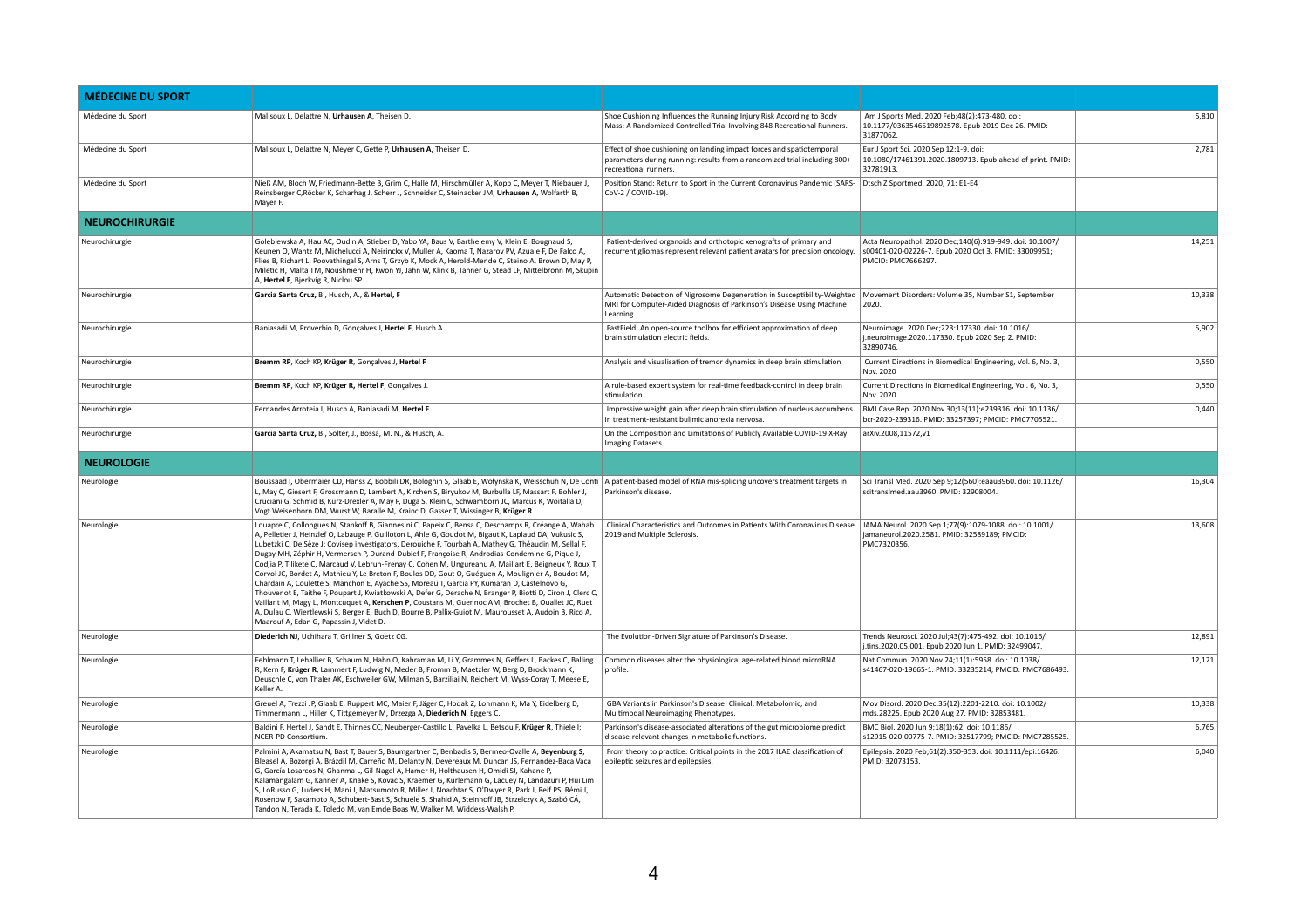| <b>MÉDECINE DU SPORT</b> |                                                                                                                                                                                                                                                                                                                                                                                                                                                                                                                                                                                                                                                                                                                                                                                                                                                                                                                                                                                                                                                                                                                   |                                                                                                                                                                             |                                                                                                                                        |        |
|--------------------------|-------------------------------------------------------------------------------------------------------------------------------------------------------------------------------------------------------------------------------------------------------------------------------------------------------------------------------------------------------------------------------------------------------------------------------------------------------------------------------------------------------------------------------------------------------------------------------------------------------------------------------------------------------------------------------------------------------------------------------------------------------------------------------------------------------------------------------------------------------------------------------------------------------------------------------------------------------------------------------------------------------------------------------------------------------------------------------------------------------------------|-----------------------------------------------------------------------------------------------------------------------------------------------------------------------------|----------------------------------------------------------------------------------------------------------------------------------------|--------|
| Médecine du Sport        | Malisoux L, Delattre N, Urhausen A, Theisen D.                                                                                                                                                                                                                                                                                                                                                                                                                                                                                                                                                                                                                                                                                                                                                                                                                                                                                                                                                                                                                                                                    | Shoe Cushioning Influences the Running Injury Risk According to Body<br>Mass: A Randomized Controlled Trial Involving 848 Recreational Runners.                             | Am J Sports Med. 2020 Feb; 48(2): 473-480. doi:<br>10.1177/0363546519892578. Epub 2019 Dec 26. PMID:<br>31877062.                      | 5,810  |
| Médecine du Sport        | Malisoux L, Delattre N, Meyer C, Gette P, Urhausen A, Theisen D.                                                                                                                                                                                                                                                                                                                                                                                                                                                                                                                                                                                                                                                                                                                                                                                                                                                                                                                                                                                                                                                  | Effect of shoe cushioning on landing impact forces and spatiotemporal<br>parameters during running: results from a randomized trial including 800+<br>recreational runners. | Eur J Sport Sci. 2020 Sep 12:1-9. doi:<br>10.1080/17461391.2020.1809713. Epub ahead of print. PMID:<br>32781913.                       | 2,781  |
| Médecine du Sport        | Nieß AM, Bloch W, Friedmann-Bette B, Grim C, Halle M, Hirschmüller A, Kopp C, Meyer T, Niebauer J<br>Reinsberger C, Röcker K, Scharhag J, Scherr J, Schneider C, Steinacker JM, Urhausen A, Wolfarth B,<br>Mayer F.                                                                                                                                                                                                                                                                                                                                                                                                                                                                                                                                                                                                                                                                                                                                                                                                                                                                                               | Position Stand: Return to Sport in the Current Coronavirus Pandemic (SARS-<br>CoV-2 / COVID-19).                                                                            | Dtsch Z Sportmed. 2020, 71: E1-E4                                                                                                      |        |
| <b>NEUROCHIRURGIE</b>    |                                                                                                                                                                                                                                                                                                                                                                                                                                                                                                                                                                                                                                                                                                                                                                                                                                                                                                                                                                                                                                                                                                                   |                                                                                                                                                                             |                                                                                                                                        |        |
| Neurochirurgie           | Golebiewska A, Hau AC, Oudin A, Stieber D, Yabo YA, Baus V, Barthelemy V, Klein E, Bougnaud S,<br>Keunen O, Wantz M, Michelucci A, Neirinckx V, Muller A, Kaoma T, Nazarov PV, Azuaje F, De Falco A,<br>Flies B, Richart L, Poovathingal S, Arns T, Grzyb K, Mock A, Herold-Mende C, Steino A, Brown D, May P,<br>Miletic H, Malta TM, Noushmehr H, Kwon YJ, Jahn W, Klink B, Tanner G, Stead LF, Mittelbronn M, Skupin<br>A, Hertel F, Bjerkvig R, Niclou SP.                                                                                                                                                                                                                                                                                                                                                                                                                                                                                                                                                                                                                                                    | Patient-derived organoids and orthotopic xenografts of primary and<br>recurrent gliomas represent relevant patient avatars for precision oncology.                          | Acta Neuropathol. 2020 Dec;140(6):919-949. doi: 10.1007/<br>s00401-020-02226-7. Epub 2020 Oct 3. PMID: 33009951;<br>PMCID: PMC7666297. | 14,251 |
| Neurochirurgie           | Garcia Santa Cruz, B., Husch, A., & Hertel, F                                                                                                                                                                                                                                                                                                                                                                                                                                                                                                                                                                                                                                                                                                                                                                                                                                                                                                                                                                                                                                                                     | Automatic Detection of Nigrosome Degeneration in Susceptibility-Weighted<br>MRI for Computer-Aided Diagnosis of Parkinson's Disease Using Machine<br>Learning.              | Movement Disorders: Volume 35, Number S1, September<br>  2020.                                                                         | 10,338 |
| Neurochirurgie           | Baniasadi M, Proverbio D, Gonçalves J, Hertel F, Husch A.                                                                                                                                                                                                                                                                                                                                                                                                                                                                                                                                                                                                                                                                                                                                                                                                                                                                                                                                                                                                                                                         | FastField: An open-source toolbox for efficient approximation of deep<br>brain stimulation electric fields.                                                                 | Neuroimage. 2020 Dec; 223:117330. doi: 10.1016/<br>j.neuroimage.2020.117330. Epub 2020 Sep 2. PMID:<br>32890746.                       | 5,902  |
| Neurochirurgie           | Bremm RP, Koch KP, Krüger R, Gonçalves J, Hertel F                                                                                                                                                                                                                                                                                                                                                                                                                                                                                                                                                                                                                                                                                                                                                                                                                                                                                                                                                                                                                                                                | Analysis and visualisation of tremor dynamics in deep brain stimulation                                                                                                     | Current Directions in Biomedical Engineering, Vol. 6, No. 3,<br>Nov. 2020                                                              | 0,550  |
| Neurochirurgie           | Bremm RP, Koch KP, Krüger R, Hertel F, Gonçalves J.                                                                                                                                                                                                                                                                                                                                                                                                                                                                                                                                                                                                                                                                                                                                                                                                                                                                                                                                                                                                                                                               | A rule-based expert system for real-time feedback-control in deep brain<br>stimulation                                                                                      | Current Directions in Biomedical Engineering, Vol. 6, No. 3,<br>Nov. 2020                                                              | 0,550  |
| Neurochirurgie           | Fernandes Arroteia I, Husch A, Baniasadi M, Hertel F.                                                                                                                                                                                                                                                                                                                                                                                                                                                                                                                                                                                                                                                                                                                                                                                                                                                                                                                                                                                                                                                             | Impressive weight gain after deep brain stimulation of nucleus accumbens<br>in treatment-resistant bulimic anorexia nervosa.                                                | BMJ Case Rep. 2020 Nov 30;13(11):e239316. doi: 10.1136/<br>bcr-2020-239316. PMID: 33257397; PMCID: PMC7705521.                         | 0,440  |
| Neurochirurgie           | Garcia Santa Cruz, B., Sölter, J., Bossa, M. N., & Husch, A.                                                                                                                                                                                                                                                                                                                                                                                                                                                                                                                                                                                                                                                                                                                                                                                                                                                                                                                                                                                                                                                      | On the Composition and Limitations of Publicly Available COVID-19 X-Ray<br>Imaging Datasets.                                                                                | arXiv.2008,11572,v1                                                                                                                    |        |
| <b>NEUROLOGIE</b>        |                                                                                                                                                                                                                                                                                                                                                                                                                                                                                                                                                                                                                                                                                                                                                                                                                                                                                                                                                                                                                                                                                                                   |                                                                                                                                                                             |                                                                                                                                        |        |
| Neurologie               | Boussaad I, Obermaier CD, Hanss Z, Bobbili DR, Bolognin S, Glaab E, Wołyńska K, Weisschuh N, De Conti<br>L, May C, Giesert F, Grossmann D, Lambert A, Kirchen S, Biryukov M, Burbulla LF, Massart F, Bohler J,<br>Cruciani G, Schmid B, Kurz-Drexler A, May P, Duga S, Klein C, Schwamborn JC, Marcus K, Woitalla D,<br>Vogt Weisenhorn DM, Wurst W, Baralle M, Krainc D, Gasser T, Wissinger B, Krüger R.                                                                                                                                                                                                                                                                                                                                                                                                                                                                                                                                                                                                                                                                                                        | A patient-based model of RNA mis-splicing uncovers treatment targets in<br>Parkinson's disease.                                                                             | Sci Transl Med. 2020 Sep 9;12(560):eaau3960. doi: 10.1126/<br>scitranslmed.aau3960. PMID: 32908004.                                    | 16,304 |
| Neurologie               | Louapre C, Collongues N, Stankoff B, Giannesini C, Papeix C, Bensa C, Deschamps R, Créange A, Wahab<br>A, Pelletier J, Heinzlef O, Labauge P, Guilloton L, Ahle G, Goudot M, Bigaut K, Laplaud DA, Vukusic S,<br>Lubetzki C, De Sèze J; Covisep investigators, Derouiche F, Tourbah A, Mathey G, Théaudin M, Sellal F,<br>Dugay MH, Zéphir H, Vermersch P, Durand-Dubief F, Françoise R, Androdias-Condemine G, Pique J,<br>Codjia P, Tilikete C, Marcaud V, Lebrun-Frenay C, Cohen M, Ungureanu A, Maillart E, Beigneux Y, Roux T,<br>Corvol JC, Bordet A, Mathieu Y, Le Breton F, Boulos DD, Gout O, Guéguen A, Moulignier A, Boudot M,<br>Chardain A, Coulette S, Manchon E, Ayache SS, Moreau T, Garcia PY, Kumaran D, Castelnovo G,<br>Thouvenot E, Taithe F, Poupart J, Kwiatkowski A, Defer G, Derache N, Branger P, Biotti D, Ciron J, Clerc C,<br>Vaillant M, Magy L, Montcuquet A, Kerschen P, Coustans M, Guennoc AM, Brochet B, Ouallet JC, Ruet<br>A, Dulau C, Wiertlewski S, Berger E, Buch D, Bourre B, Pallix-Guiot M, Maurousset A, Audoin B, Rico A,<br>Maarouf A, Edan G, Papassin J, Videt D. | Clinical Characteristics and Outcomes in Patients With Coronavirus Disease<br>2019 and Multiple Sclerosis.                                                                  | JAMA Neurol. 2020 Sep 1;77(9):1079-1088. doi: 10.1001/<br>jamaneurol.2020.2581. PMID: 32589189; PMCID:<br>PMC7320356.                  | 13,608 |
| Neurologie               | Diederich NJ, Uchihara T, Grillner S, Goetz CG.                                                                                                                                                                                                                                                                                                                                                                                                                                                                                                                                                                                                                                                                                                                                                                                                                                                                                                                                                                                                                                                                   | The Evolution-Driven Signature of Parkinson's Disease.                                                                                                                      | Trends Neurosci. 2020 Jul;43(7):475-492. doi: 10.1016/<br>j.tins.2020.05.001. Epub 2020 Jun 1. PMID: 32499047.                         | 12,891 |
| Neurologie               | Fehlmann T, Lehallier B, Schaum N, Hahn O, Kahraman M, Li Y, Grammes N, Geffers L, Backes C, Balling<br>R, Kern F, Krüger R, Lammert F, Ludwig N, Meder B, Fromm B, Maetzler W, Berg D, Brockmann K,<br>Deuschle C, von Thaler AK, Eschweiler GW, Milman S, Barziliai N, Reichert M, Wyss-Coray T, Meese E,<br>Keller A.                                                                                                                                                                                                                                                                                                                                                                                                                                                                                                                                                                                                                                                                                                                                                                                          | Common diseases alter the physiological age-related blood microRNA<br>profile.                                                                                              | Nat Commun. 2020 Nov 24;11(1):5958. doi: 10.1038/<br>S41467-020-19665-1. PMID: 33235214; PMCID: PMC7686493.                            | 12,121 |
| Neurologie               | Greuel A, Trezzi JP, Glaab E, Ruppert MC, Maier F, Jäger C, Hodak Z, Lohmann K, Ma Y, Eidelberg D,<br>Timmermann L, Hiller K, Tittgemeyer M, Drzezga A, Diederich N, Eggers C.                                                                                                                                                                                                                                                                                                                                                                                                                                                                                                                                                                                                                                                                                                                                                                                                                                                                                                                                    | GBA Variants in Parkinson's Disease: Clinical, Metabolomic, and<br>Multimodal Neuroimaging Phenotypes.                                                                      | Mov Disord. 2020 Dec;35(12):2201-2210. doi: 10.1002/<br>mds.28225. Epub 2020 Aug 27. PMID: 32853481.                                   | 10,338 |
| Neurologie               | Baldini F, Hertel J, Sandt E, Thinnes CC, Neuberger-Castillo L, Pavelka L, Betsou F, Krüger R, Thiele I;<br>NCER-PD Consortium.                                                                                                                                                                                                                                                                                                                                                                                                                                                                                                                                                                                                                                                                                                                                                                                                                                                                                                                                                                                   | Parkinson's disease-associated alterations of the gut microbiome predict<br>disease-relevant changes in metabolic functions.                                                | BMC Biol. 2020 Jun 9;18(1):62. doi: 10.1186/<br>s12915-020-00775-7. PMID: 32517799; PMCID: PMC7285525.                                 | 6,765  |
| Neurologie               | Palmini A, Akamatsu N, Bast T, Bauer S, Baumgartner C, Benbadis S, Bermeo-Ovalle A, Beyenburg S,<br>Bleasel A, Bozorgi A, Brázdil M, Carreño M, Delanty N, Devereaux M, Duncan JS, Fernandez-Baca Vaca<br>G, García Losarcos N, Ghanma L, Gil-Nagel A, Hamer H, Holthausen H, Omidi SJ, Kahane P,<br>Kalamangalam G, Kanner A, Knake S, Kovac S, Kraemer G, Kurlemann G, Lacuey N, Landazuri P, Hui Lim<br>S, LoRusso G, Luders H, Mani J, Matsumoto R, Miller J, Noachtar S, O'Dwyer R, Park J, Reif PS, Rémi J,<br>Rosenow F, Sakamoto A, Schubert-Bast S, Schuele S, Shahid A, Steinhoff JB, Strzelczyk A, Szabó CÁ,<br>Tandon N, Terada K, Toledo M, van Emde Boas W, Walker M, Widdess-Walsh P.                                                                                                                                                                                                                                                                                                                                                                                                              | From theory to practice: Critical points in the 2017 ILAE classification of<br>epileptic seizures and epilepsies.                                                           | Epilepsia. 2020 Feb;61(2):350-353. doi: 10.1111/epi.16426.<br>PMID: 32073153.                                                          | 6,040  |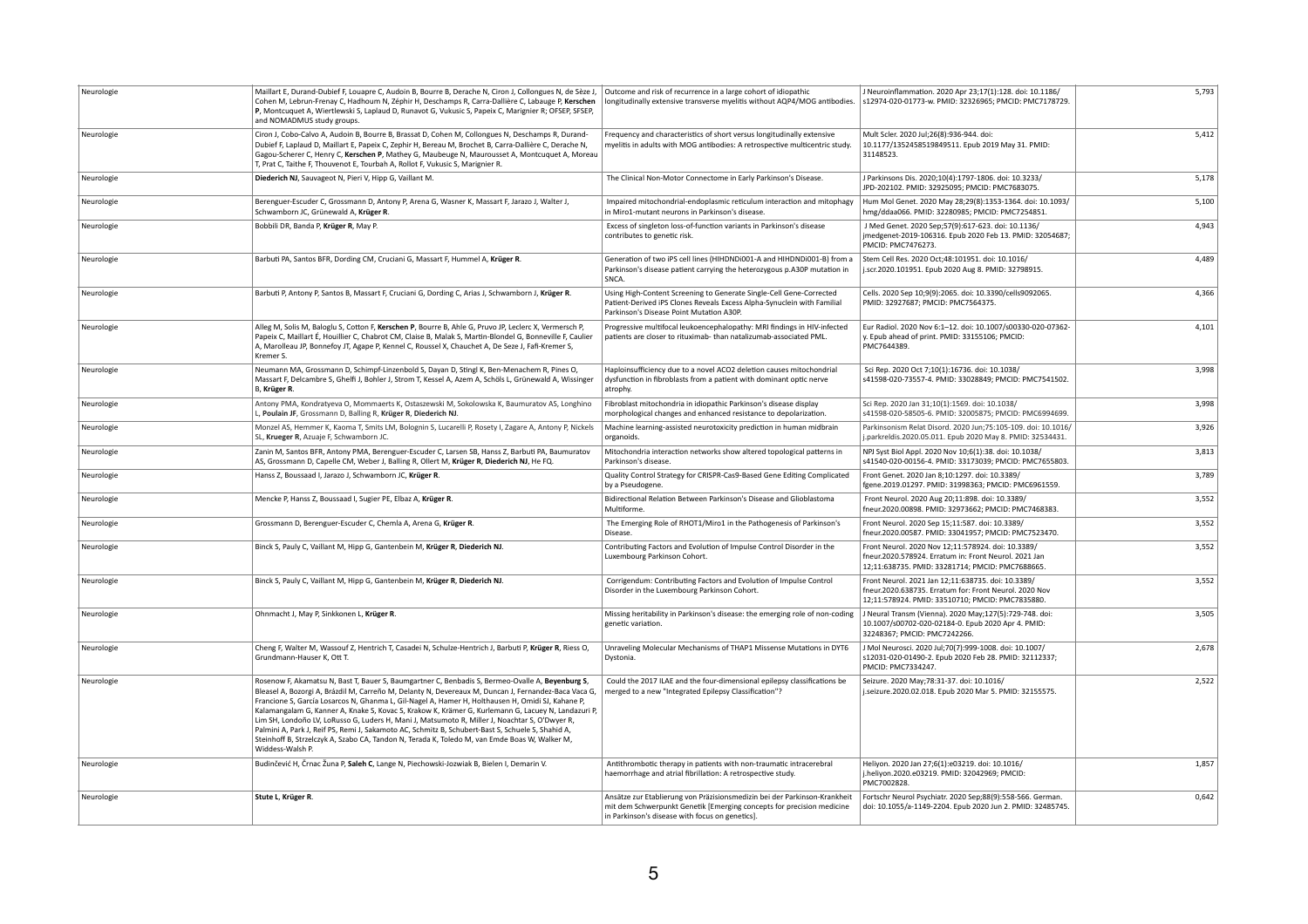| Neurologie | Maillart E, Durand-Dubief F, Louapre C, Audoin B, Bourre B, Derache N, Ciron J, Collongues N, de Sèze J<br>Cohen M, Lebrun-Frenay C, Hadhoum N, Zéphir H, Deschamps R, Carra-Dallière C, Labauge P, Kerschen<br>P, Montcuquet A, Wiertlewski S, Laplaud D, Runavot G, Vukusic S, Papeix C, Marignier R; OFSEP, SFSEP,<br>and NOMADMUS study groups.                                                                                                                                                                                                                                                                                                                                                                                              | Outcome and risk of recurrence in a large cohort of idiopathic<br>longitudinally extensive transverse myelitis without AQP4/MOG antibodies.                                                           | J Neuroinflammation. 2020 Apr 23;17(1):128. doi: 10.1186/<br>s12974-020-01773-w. PMID: 32326965; PMCID: PMC7178729.                                              | 5,793 |
|------------|--------------------------------------------------------------------------------------------------------------------------------------------------------------------------------------------------------------------------------------------------------------------------------------------------------------------------------------------------------------------------------------------------------------------------------------------------------------------------------------------------------------------------------------------------------------------------------------------------------------------------------------------------------------------------------------------------------------------------------------------------|-------------------------------------------------------------------------------------------------------------------------------------------------------------------------------------------------------|------------------------------------------------------------------------------------------------------------------------------------------------------------------|-------|
| Neurologie | Ciron J, Cobo-Calvo A, Audoin B, Bourre B, Brassat D, Cohen M, Collongues N, Deschamps R, Durand-<br>Dubief F, Laplaud D, Maillart E, Papeix C, Zephir H, Bereau M, Brochet B, Carra-Dallière C, Derache N,<br>Gagou-Scherer C, Henry C, Kerschen P, Mathey G, Maubeuge N, Maurousset A, Montcuquet A, Moreau<br>T, Prat C, Taithe F, Thouvenot E, Tourbah A, Rollot F, Vukusic S, Marignier R.                                                                                                                                                                                                                                                                                                                                                  | Frequency and characteristics of short versus longitudinally extensive<br>myelitis in adults with MOG antibodies: A retrospective multicentric study.                                                 | Mult Scler. 2020 Jul;26(8):936-944. doi:<br>10.1177/1352458519849511. Epub 2019 May 31. PMID:<br>31148523.                                                       | 5,412 |
| Neurologie | Diederich NJ, Sauvageot N, Pieri V, Hipp G, Vaillant M.                                                                                                                                                                                                                                                                                                                                                                                                                                                                                                                                                                                                                                                                                          | The Clinical Non-Motor Connectome in Early Parkinson's Disease.                                                                                                                                       | J Parkinsons Dis. 2020;10(4):1797-1806. doi: 10.3233/<br>JPD-202102. PMID: 32925095; PMCID: PMC7683075.                                                          | 5,178 |
| Neurologie | Berenguer-Escuder C, Grossmann D, Antony P, Arena G, Wasner K, Massart F, Jarazo J, Walter J,<br>Schwamborn JC, Grünewald A, Krüger R.                                                                                                                                                                                                                                                                                                                                                                                                                                                                                                                                                                                                           | Impaired mitochondrial-endoplasmic reticulum interaction and mitophagy<br>in Miro1-mutant neurons in Parkinson's disease.                                                                             | Hum Mol Genet. 2020 May 28;29(8):1353-1364. doi: 10.1093/<br>hmg/ddaa066. PMID: 32280985; PMCID: PMC7254851.                                                     | 5,100 |
| Neurologie | Bobbili DR, Banda P, Krüger R, May P.                                                                                                                                                                                                                                                                                                                                                                                                                                                                                                                                                                                                                                                                                                            | Excess of singleton loss-of-function variants in Parkinson's disease<br>contributes to genetic risk.                                                                                                  | J Med Genet. 2020 Sep;57(9):617-623. doi: 10.1136/<br>jmedgenet-2019-106316. Epub 2020 Feb 13. PMID: 32054687;<br>PMCID: PMC7476273.                             | 4,943 |
| Neurologie | Barbuti PA, Santos BFR, Dording CM, Cruciani G, Massart F, Hummel A, Krüger R.                                                                                                                                                                                                                                                                                                                                                                                                                                                                                                                                                                                                                                                                   | Generation of two iPS cell lines (HIHDNDi001-A and HIHDNDi001-B) from a<br>Parkinson's disease patient carrying the heterozygous p.A30P mutation in<br>SNCA.                                          | Stem Cell Res. 2020 Oct;48:101951. doi: 10.1016/<br>j.scr.2020.101951. Epub 2020 Aug 8. PMID: 32798915.                                                          | 4,489 |
| Neurologie | Barbuti P, Antony P, Santos B, Massart F, Cruciani G, Dording C, Arias J, Schwamborn J, Krüger R.                                                                                                                                                                                                                                                                                                                                                                                                                                                                                                                                                                                                                                                | Using High-Content Screening to Generate Single-Cell Gene-Corrected<br>Patient-Derived iPS Clones Reveals Excess Alpha-Synuclein with Familial<br>Parkinson's Disease Point Mutation A30P.            | Cells. 2020 Sep 10;9(9):2065. doi: 10.3390/cells9092065.<br>PMID: 32927687; PMCID: PMC7564375.                                                                   | 4,366 |
| Neurologie | Alleg M, Solis M, Baloglu S, Cotton F, Kerschen P, Bourre B, Ahle G, Pruvo JP, Leclerc X, Vermersch P,<br>Papeix C, Maillart É, Houillier C, Chabrot CM, Claise B, Malak S, Martin-Blondel G, Bonneville F, Caulier<br>A, Marolleau JP, Bonnefoy JT, Agape P, Kennel C, Roussel X, Chauchet A, De Seze J, Fafi-Kremer S,<br>Kremer S.                                                                                                                                                                                                                                                                                                                                                                                                            | Progressive multifocal leukoencephalopathy: MRI findings in HIV-infected<br>patients are closer to rituximab-than natalizumab-associated PML.                                                         | Eur Radiol. 2020 Nov 6:1-12. doi: 10.1007/s00330-020-07362-<br>y. Epub ahead of print. PMID: 33155106; PMCID:<br>PMC7644389.                                     | 4,101 |
| Neurologie | Neumann MA, Grossmann D, Schimpf-Linzenbold S, Dayan D, Stingl K, Ben-Menachem R, Pines O,<br>Massart F, Delcambre S, Ghelfi J, Bohler J, Strom T, Kessel A, Azem A, Schöls L, Grünewald A, Wissinger<br>B, Krüger R.                                                                                                                                                                                                                                                                                                                                                                                                                                                                                                                            | Haploinsufficiency due to a novel ACO2 deletion causes mitochondrial<br>dysfunction in fibroblasts from a patient with dominant optic nerve<br>atrophy.                                               | Sci Rep. 2020 Oct 7;10(1):16736. doi: 10.1038/<br>s41598-020-73557-4. PMID: 33028849; PMCID: PMC7541502.                                                         | 3,998 |
| Neurologie | Antony PMA, Kondratyeva O, Mommaerts K, Ostaszewski M, Sokolowska K, Baumuratov AS, Longhino<br>., Poulain JF, Grossmann D, Balling R, Krüger R, Diederich NJ.                                                                                                                                                                                                                                                                                                                                                                                                                                                                                                                                                                                   | Fibroblast mitochondria in idiopathic Parkinson's disease display<br>morphological changes and enhanced resistance to depolarization.                                                                 | Sci Rep. 2020 Jan 31;10(1):1569. doi: 10.1038/<br>s41598-020-58505-6. PMID: 32005875; PMCID: PMC6994699                                                          | 3,998 |
| Neurologie | Monzel AS, Hemmer K, Kaoma T, Smits LM, Bolognin S, Lucarelli P, Rosety I, Zagare A, Antony P, Nickels<br>SL, Krueger R, Azuaje F, Schwamborn JC.                                                                                                                                                                                                                                                                                                                                                                                                                                                                                                                                                                                                | Machine learning-assisted neurotoxicity prediction in human midbrain<br>organoids.                                                                                                                    | Parkinsonism Relat Disord. 2020 Jun; 75:105-109. doi: 10.1016/<br>j.parkreldis.2020.05.011. Epub 2020 May 8. PMID: 32534431.                                     | 3,926 |
| Neurologie | Zanin M, Santos BFR, Antony PMA, Berenguer-Escuder C, Larsen SB, Hanss Z, Barbuti PA, Baumuratov<br>AS, Grossmann D, Capelle CM, Weber J, Balling R, Ollert M, Krüger R, Diederich NJ, He FQ.                                                                                                                                                                                                                                                                                                                                                                                                                                                                                                                                                    | Mitochondria interaction networks show altered topological patterns in<br>Parkinson's disease.                                                                                                        | NPJ Syst Biol Appl. 2020 Nov 10;6(1):38. doi: 10.1038/<br>S41540-020-00156-4. PMID: 33173039; PMCID: PMC7655803.                                                 | 3,813 |
| Neurologie | Hanss Z, Boussaad I, Jarazo J, Schwamborn JC, Krüger R.                                                                                                                                                                                                                                                                                                                                                                                                                                                                                                                                                                                                                                                                                          | Quality Control Strategy for CRISPR-Cas9-Based Gene Editing Complicated<br>by a Pseudogene.                                                                                                           | Front Genet. 2020 Jan 8;10:1297. doi: 10.3389/<br>fgene.2019.01297. PMID: 31998363; PMCID: PMC6961559.                                                           | 3,789 |
| Neurologie | Mencke P, Hanss Z, Boussaad I, Sugier PE, Elbaz A, Krüger R.                                                                                                                                                                                                                                                                                                                                                                                                                                                                                                                                                                                                                                                                                     | Bidirectional Relation Between Parkinson's Disease and Glioblastoma<br>Multiforme.                                                                                                                    | Front Neurol. 2020 Aug 20;11:898. doi: 10.3389/<br>fneur.2020.00898. PMID: 32973662; PMCID: PMC7468383.                                                          | 3,552 |
| Neurologie | Grossmann D, Berenguer-Escuder C, Chemla A, Arena G, Krüger R.                                                                                                                                                                                                                                                                                                                                                                                                                                                                                                                                                                                                                                                                                   | The Emerging Role of RHOT1/Miro1 in the Pathogenesis of Parkinson's<br>Disease.                                                                                                                       | Front Neurol. 2020 Sep 15;11:587. doi: 10.3389/<br>fneur.2020.00587. PMID: 33041957; PMCID: PMC7523470.                                                          | 3,552 |
| Neurologie | Binck S, Pauly C, Vaillant M, Hipp G, Gantenbein M, Krüger R, Diederich NJ.                                                                                                                                                                                                                                                                                                                                                                                                                                                                                                                                                                                                                                                                      | Contributing Factors and Evolution of Impulse Control Disorder in the<br>Luxembourg Parkinson Cohort.                                                                                                 | Front Neurol. 2020 Nov 12;11:578924. doi: 10.3389/<br>fneur.2020.578924. Erratum in: Front Neurol. 2021 Jan<br>12;11:638735. PMID: 33281714; PMCID: PMC7688665.  | 3,552 |
| Neurologie | Binck S, Pauly C, Vaillant M, Hipp G, Gantenbein M, Krüger R, Diederich NJ.                                                                                                                                                                                                                                                                                                                                                                                                                                                                                                                                                                                                                                                                      | Corrigendum: Contributing Factors and Evolution of Impulse Control<br>Disorder in the Luxembourg Parkinson Cohort.                                                                                    | Front Neurol. 2021 Jan 12;11:638735. doi: 10.3389/<br>fneur.2020.638735. Erratum for: Front Neurol. 2020 Nov<br>12;11:578924. PMID: 33510710; PMCID: PMC7835880. | 3,552 |
| Neurologie | Ohnmacht J, May P, Sinkkonen L, Krüger R.                                                                                                                                                                                                                                                                                                                                                                                                                                                                                                                                                                                                                                                                                                        | Missing heritability in Parkinson's disease: the emerging role of non-coding<br>genetic variation.                                                                                                    | J Neural Transm (Vienna). 2020 May;127(5):729-748. doi:<br>10.1007/s00702-020-02184-0. Epub 2020 Apr 4. PMID:<br>32248367; PMCID: PMC7242266.                    | 3,505 |
| Neurologie | Cheng F, Walter M, Wassouf Z, Hentrich T, Casadei N, Schulze-Hentrich J, Barbuti P, Krüger R, Riess O,<br>Grundmann-Hauser K, Ott T.                                                                                                                                                                                                                                                                                                                                                                                                                                                                                                                                                                                                             | Unraveling Molecular Mechanisms of THAP1 Missense Mutations in DYT6<br>Dystonia.                                                                                                                      | J Mol Neurosci. 2020 Jul;70(7):999-1008. doi: 10.1007/<br>s12031-020-01490-2. Epub 2020 Feb 28. PMID: 32112337;<br>PMCID: PMC7334247.                            | 2,678 |
| Neurologie | Rosenow F, Akamatsu N, Bast T, Bauer S, Baumgartner C, Benbadis S, Bermeo-Ovalle A, Beyenburg S,<br>Bleasel A, Bozorgi A, Brázdil M, Carreño M, Delanty N, Devereaux M, Duncan J, Fernandez-Baca Vaca G,<br>Francione S, García Losarcos N, Ghanma L, Gil-Nagel A, Hamer H, Holthausen H, Omidi SJ, Kahane P,<br>Kalamangalam G, Kanner A, Knake S, Kovac S, Krakow K, Krämer G, Kurlemann G, Lacuey N, Landazuri P,<br>Lim SH, Londoño LV, LoRusso G, Luders H, Mani J, Matsumoto R, Miller J, Noachtar S, O'Dwyer R,<br>Palmini A, Park J, Reif PS, Remi J, Sakamoto AC, Schmitz B, Schubert-Bast S, Schuele S, Shahid A,<br>Steinhoff B, Strzelczyk A, Szabo CA, Tandon N, Terada K, Toledo M, van Emde Boas W, Walker M,<br>Widdess-Walsh P. | Could the 2017 ILAE and the four-dimensional epilepsy classifications be<br>merged to a new "Integrated Epilepsy Classification"?                                                                     | Seizure. 2020 May; 78:31-37. doi: 10.1016/<br>j.seizure.2020.02.018. Epub 2020 Mar 5. PMID: 32155575.                                                            | 2,522 |
| Neurologie | Budinčević H, Črnac Žuna P, Saleh C, Lange N, Piechowski-Jozwiak B, Bielen I, Demarin V.                                                                                                                                                                                                                                                                                                                                                                                                                                                                                                                                                                                                                                                         | Antithrombotic therapy in patients with non-traumatic intracerebral<br>haemorrhage and atrial fibrillation: A retrospective study.                                                                    | Heliyon. 2020 Jan 27;6(1):e03219. doi: 10.1016/<br>j.heliyon.2020.e03219. PMID: 32042969; PMCID:<br>PMC7002828.                                                  | 1,857 |
| Neurologie | Stute L, Krüger R.                                                                                                                                                                                                                                                                                                                                                                                                                                                                                                                                                                                                                                                                                                                               | Ansätze zur Etablierung von Präzisionsmedizin bei der Parkinson-Krankheit<br>mit dem Schwerpunkt Genetik [Emerging concepts for precision medicine<br>in Parkinson's disease with focus on genetics]. | Fortschr Neurol Psychiatr. 2020 Sep;88(9):558-566. German.<br>doi: 10.1055/a-1149-2204. Epub 2020 Jun 2. PMID: 32485745.                                         | 0,642 |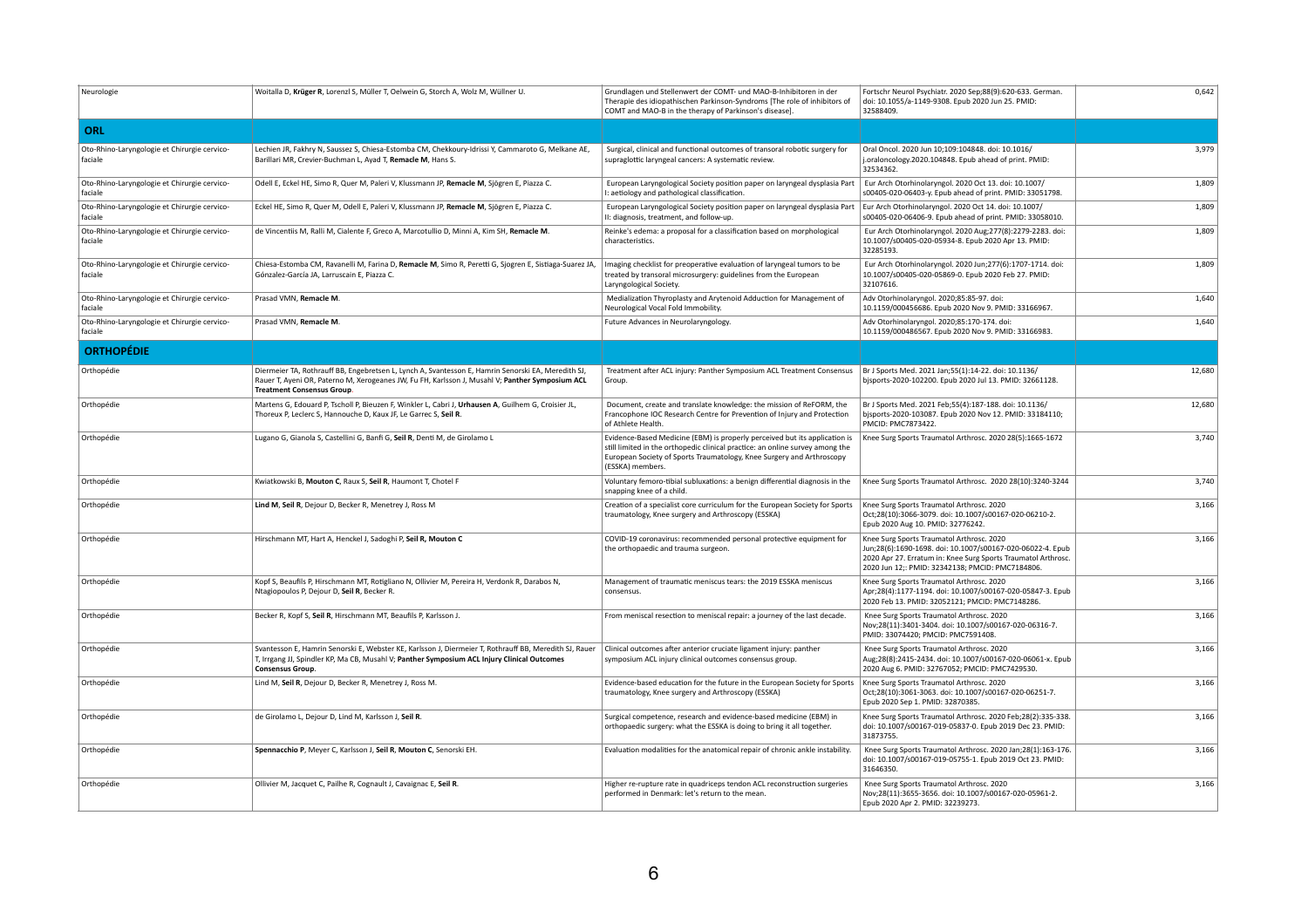| Neurologie                                              | Woitalla D, Krüger R, Lorenzl S, Müller T, Oelwein G, Storch A, Wolz M, Wüllner U.                                                                                                                                                         | Grundlagen und Stellenwert der COMT- und MAO-B-Inhibitoren in der<br>Therapie des idiopathischen Parkinson-Syndroms [The role of inhibitors of<br>COMT and MAO-B in the therapy of Parkinson's disease].                                                 | Fortschr Neurol Psychiatr. 2020 Sep;88(9):620-633. German.<br>doi: 10.1055/a-1149-9308. Epub 2020 Jun 25. PMID:<br>32588409.                                                                                                 | 0,642  |
|---------------------------------------------------------|--------------------------------------------------------------------------------------------------------------------------------------------------------------------------------------------------------------------------------------------|----------------------------------------------------------------------------------------------------------------------------------------------------------------------------------------------------------------------------------------------------------|------------------------------------------------------------------------------------------------------------------------------------------------------------------------------------------------------------------------------|--------|
| ORL                                                     |                                                                                                                                                                                                                                            |                                                                                                                                                                                                                                                          |                                                                                                                                                                                                                              |        |
| Oto-Rhino-Laryngologie et Chirurgie cervico-<br>faciale | Lechien JR, Fakhry N, Saussez S, Chiesa-Estomba CM, Chekkoury-Idrissi Y, Cammaroto G, Melkane AE,<br>Barillari MR, Crevier-Buchman L, Ayad T, Remacle M, Hans S.                                                                           | Surgical, clinical and functional outcomes of transoral robotic surgery for<br>supraglottic laryngeal cancers: A systematic review.                                                                                                                      | Oral Oncol. 2020 Jun 10;109:104848. doi: 10.1016/<br>j.oraloncology.2020.104848. Epub ahead of print. PMID:<br>32534362.                                                                                                     | 3,979  |
| Oto-Rhino-Laryngologie et Chirurgie cervico-<br>faciale | Odell E, Eckel HE, Simo R, Quer M, Paleri V, Klussmann JP, Remacle M, Sjögren E, Piazza C.                                                                                                                                                 | European Laryngological Society position paper on laryngeal dysplasia Part<br>I: aetiology and pathological classification.                                                                                                                              | Eur Arch Otorhinolaryngol. 2020 Oct 13. doi: 10.1007/<br>s00405-020-06403-y. Epub ahead of print. PMID: 33051798.                                                                                                            | 1,809  |
| Oto-Rhino-Laryngologie et Chirurgie cervico-<br>faciale | Eckel HE, Simo R, Quer M, Odell E, Paleri V, Klussmann JP, Remacle M, Sjögren E, Piazza C.                                                                                                                                                 | European Laryngological Society position paper on laryngeal dysplasia Part<br>II: diagnosis, treatment, and follow-up.                                                                                                                                   | Eur Arch Otorhinolaryngol. 2020 Oct 14. doi: 10.1007/<br>s00405-020-06406-9. Epub ahead of print. PMID: 33058010.                                                                                                            | 1,809  |
| Oto-Rhino-Laryngologie et Chirurgie cervico-<br>faciale | de Vincentiis M, Ralli M, Cialente F, Greco A, Marcotullio D, Minni A, Kim SH, Remacle M.                                                                                                                                                  | Reinke's edema: a proposal for a classification based on morphological<br>characteristics.                                                                                                                                                               | Eur Arch Otorhinolaryngol. 2020 Aug; 277(8): 2279-2283. doi:<br>10.1007/s00405-020-05934-8. Epub 2020 Apr 13. PMID:<br>32285193.                                                                                             | 1,809  |
| Oto-Rhino-Laryngologie et Chirurgie cervico-<br>faciale | Chiesa-Estomba CM, Ravanelli M, Farina D, Remacle M, Simo R, Peretti G, Sjogren E, Sistiaga-Suarez JA,<br>Gónzalez-García JA, Larruscain E, Piazza C.                                                                                      | Imaging checklist for preoperative evaluation of laryngeal tumors to be<br>treated by transoral microsurgery: guidelines from the European<br>Laryngological Society.                                                                                    | Eur Arch Otorhinolaryngol. 2020 Jun;277(6):1707-1714. doi:<br>10.1007/s00405-020-05869-0. Epub 2020 Feb 27. PMID:<br>32107616.                                                                                               | 1,809  |
| Oto-Rhino-Laryngologie et Chirurgie cervico-<br>faciale | Prasad VMN, Remacle M                                                                                                                                                                                                                      | Medialization Thyroplasty and Arytenoid Adduction for Management of<br>Neurological Vocal Fold Immobility.                                                                                                                                               | Adv Otorhinolaryngol. 2020;85:85-97. doi:<br>10.1159/000456686. Epub 2020 Nov 9. PMID: 33166967.                                                                                                                             | 1,640  |
| Oto-Rhino-Laryngologie et Chirurgie cervico-<br>faciale | Prasad VMN, Remacle M                                                                                                                                                                                                                      | Future Advances in Neurolaryngology.                                                                                                                                                                                                                     | Adv Otorhinolaryngol. 2020;85:170-174. doi:<br>10.1159/000486567. Epub 2020 Nov 9. PMID: 33166983.                                                                                                                           | 1,640  |
| <b>ORTHOPÉDIE</b>                                       |                                                                                                                                                                                                                                            |                                                                                                                                                                                                                                                          |                                                                                                                                                                                                                              |        |
| Orthopédie                                              | Diermeier TA, Rothrauff BB, Engebretsen L, Lynch A, Svantesson E, Hamrin Senorski EA, Meredith SJ,<br>Rauer T, Ayeni OR, Paterno M, Xerogeanes JW, Fu FH, Karlsson J, Musahl V; Panther Symposium ACL<br><b>Treatment Consensus Group.</b> | Treatment after ACL injury: Panther Symposium ACL Treatment Consensus<br>Group.                                                                                                                                                                          | Br J Sports Med. 2021 Jan;55(1):14-22. doi: 10.1136/<br>bjsports-2020-102200. Epub 2020 Jul 13. PMID: 32661128.                                                                                                              | 12,680 |
| Orthopédie                                              | Martens G, Edouard P, Tscholl P, Bieuzen F, Winkler L, Cabri J, Urhausen A, Guilhem G, Croisier JL,<br>Thoreux P, Leclerc S, Hannouche D, Kaux JF, Le Garrec S, Seil R.                                                                    | Document, create and translate knowledge: the mission of ReFORM, the<br>Francophone IOC Research Centre for Prevention of Injury and Protection<br>of Athlete Health.                                                                                    | Br J Sports Med. 2021 Feb;55(4):187-188. doi: 10.1136/<br>bjsports-2020-103087. Epub 2020 Nov 12. PMID: 33184110;<br><b>PMCID: PMC7873422.</b>                                                                               | 12,680 |
| Orthopédie                                              | Lugano G, Gianola S, Castellini G, Banfi G, Seil R, Denti M, de Girolamo L                                                                                                                                                                 | Evidence-Based Medicine (EBM) is properly perceived but its application is<br>still limited in the orthopedic clinical practice: an online survey among the<br>European Society of Sports Traumatology, Knee Surgery and Arthroscopy<br>(ESSKA) members. | Knee Surg Sports Traumatol Arthrosc. 2020 28(5):1665-1672                                                                                                                                                                    | 3,740  |
| Orthopédie                                              | Kwiatkowski B, Mouton C, Raux S, Seil R, Haumont T, Chotel F                                                                                                                                                                               | Voluntary femoro-tibial subluxations: a benign differential diagnosis in the<br>snapping knee of a child.                                                                                                                                                | Knee Surg Sports Traumatol Arthrosc. 2020 28(10):3240-3244                                                                                                                                                                   | 3,740  |
| Orthopédie                                              | Lind M, Seil R, Dejour D, Becker R, Menetrey J, Ross M                                                                                                                                                                                     | Creation of a specialist core curriculum for the European Society for Sports<br>traumatology, Knee surgery and Arthroscopy (ESSKA)                                                                                                                       | Knee Surg Sports Traumatol Arthrosc. 2020<br>Oct;28(10):3066-3079. doi: 10.1007/s00167-020-06210-2.<br>Epub 2020 Aug 10. PMID: 32776242.                                                                                     | 3,166  |
| Orthopédie                                              | Hirschmann MT, Hart A, Henckel J, Sadoghi P, Seil R, Mouton C                                                                                                                                                                              | COVID-19 coronavirus: recommended personal protective equipment for<br>the orthopaedic and trauma surgeon.                                                                                                                                               | Knee Surg Sports Traumatol Arthrosc. 2020<br>Jun;28(6):1690-1698. doi: 10.1007/s00167-020-06022-4. Epub<br>2020 Apr 27. Erratum in: Knee Surg Sports Traumatol Arthrosc.<br>2020 Jun 12;: PMID: 32342138; PMCID: PMC7184806. | 3,166  |
| Orthopédie                                              | Kopf S, Beaufils P, Hirschmann MT, Rotigliano N, Ollivier M, Pereira H, Verdonk R, Darabos N,<br>Ntagiopoulos P, Dejour D, Seil R, Becker R.                                                                                               | Management of traumatic meniscus tears: the 2019 ESSKA meniscus<br>consensus.                                                                                                                                                                            | Knee Surg Sports Traumatol Arthrosc. 2020<br>Apr;28(4):1177-1194. doi: 10.1007/s00167-020-05847-3. Epub<br>2020 Feb 13. PMID: 32052121; PMCID: PMC7148286.                                                                   | 3,166  |
| Orthopédie                                              | Becker R, Kopf S, Seil R, Hirschmann MT, Beaufils P, Karlsson J.                                                                                                                                                                           | From meniscal resection to meniscal repair: a journey of the last decade.                                                                                                                                                                                | Knee Surg Sports Traumatol Arthrosc. 2020<br>Nov;28(11):3401-3404. doi: 10.1007/s00167-020-06316-7.<br>PMID: 33074420; PMCID: PMC7591408.                                                                                    | 3,166  |
| Orthopédie                                              | Svantesson E, Hamrin Senorski E, Webster KE, Karlsson J, Diermeier T, Rothrauff BB, Meredith SJ, Rauer<br>T, Irrgang JJ, Spindler KP, Ma CB, Musahl V; Panther Symposium ACL Injury Clinical Outcomes<br><b>Consensus Group.</b>           | Clinical outcomes after anterior cruciate ligament injury: panther<br>symposium ACL injury clinical outcomes consensus group.                                                                                                                            | Knee Surg Sports Traumatol Arthrosc. 2020<br>Aug;28(8):2415-2434. doi: 10.1007/s00167-020-06061-x. Epub<br>2020 Aug 6. PMID: 32767052; PMCID: PMC7429530.                                                                    | 3,166  |
| Orthopédie                                              | Lind M, Seil R, Dejour D, Becker R, Menetrey J, Ross M.                                                                                                                                                                                    | Evidence-based education for the future in the European Society for Sports<br>traumatology, Knee surgery and Arthroscopy (ESSKA)                                                                                                                         | Knee Surg Sports Traumatol Arthrosc. 2020<br>Oct;28(10):3061-3063. doi: 10.1007/s00167-020-06251-7.<br>Epub 2020 Sep 1. PMID: 32870385.                                                                                      | 3,166  |
| Orthopédie                                              | de Girolamo L, Dejour D, Lind M, Karlsson J, Seil R.                                                                                                                                                                                       | Surgical competence, research and evidence-based medicine (EBM) in<br>orthopaedic surgery: what the ESSKA is doing to bring it all together.                                                                                                             | Knee Surg Sports Traumatol Arthrosc. 2020 Feb;28(2):335-338.<br>doi: 10.1007/s00167-019-05837-0. Epub 2019 Dec 23. PMID:<br>31873755.                                                                                        | 3,166  |
| Orthopédie                                              | Spennacchio P, Meyer C, Karlsson J, Seil R, Mouton C, Senorski EH.                                                                                                                                                                         | Evaluation modalities for the anatomical repair of chronic ankle instability.                                                                                                                                                                            | Knee Surg Sports Traumatol Arthrosc. 2020 Jan;28(1):163-176.<br>doi: 10.1007/s00167-019-05755-1. Epub 2019 Oct 23. PMID:<br>31646350.                                                                                        | 3,166  |
| Orthopédie                                              | Ollivier M, Jacquet C, Pailhe R, Cognault J, Cavaignac E, Seil R.                                                                                                                                                                          | Higher re-rupture rate in quadriceps tendon ACL reconstruction surgeries<br>performed in Denmark: let's return to the mean.                                                                                                                              | Knee Surg Sports Traumatol Arthrosc. 2020<br>Nov;28(11):3655-3656. doi: 10.1007/s00167-020-05961-2.<br>Epub 2020 Apr 2. PMID: 32239273.                                                                                      | 3,166  |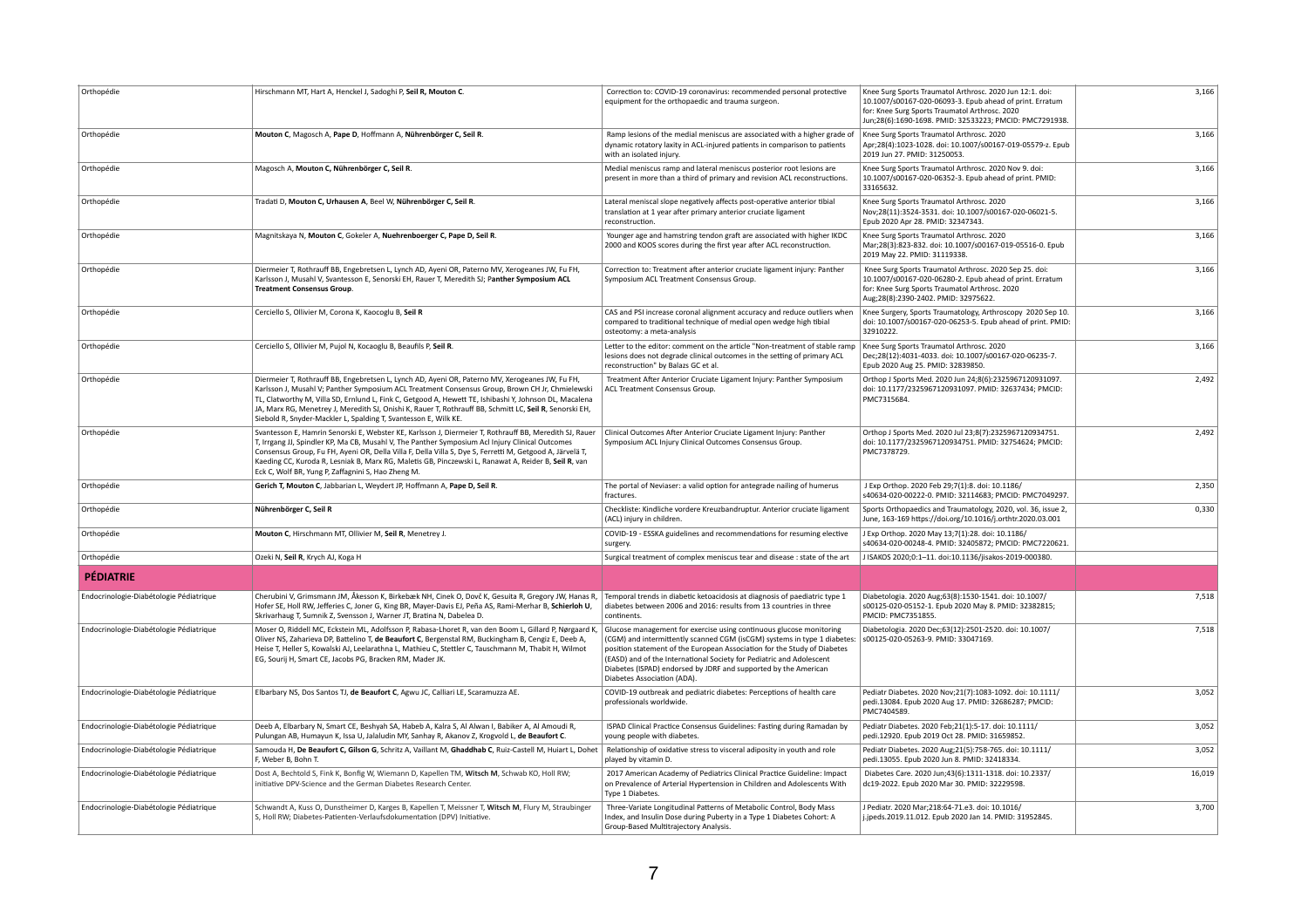| Orthopédie                              | Hirschmann MT, Hart A, Henckel J, Sadoghi P, Seil R, Mouton C.                                                                                                                                                                                                                                                                                                                                                                                                                             | Correction to: COVID-19 coronavirus: recommended personal protective<br>equipment for the orthopaedic and trauma surgeon.                                                                                                                                                                                                                                                                             | Knee Surg Sports Traumatol Arthrosc. 2020 Jun 12:1. doi:<br>10.1007/s00167-020-06093-3. Epub ahead of print. Erratum<br>for: Knee Surg Sports Traumatol Arthrosc. 2020<br>Jun;28(6):1690-1698. PMID: 32533223; PMCID: PMC7291938. | 3,166  |
|-----------------------------------------|--------------------------------------------------------------------------------------------------------------------------------------------------------------------------------------------------------------------------------------------------------------------------------------------------------------------------------------------------------------------------------------------------------------------------------------------------------------------------------------------|-------------------------------------------------------------------------------------------------------------------------------------------------------------------------------------------------------------------------------------------------------------------------------------------------------------------------------------------------------------------------------------------------------|-----------------------------------------------------------------------------------------------------------------------------------------------------------------------------------------------------------------------------------|--------|
| Orthopédie                              | Mouton C, Magosch A, Pape D, Hoffmann A, Nührenbörger C, Seil R.                                                                                                                                                                                                                                                                                                                                                                                                                           | Ramp lesions of the medial meniscus are associated with a higher grade of<br>dynamic rotatory laxity in ACL-injured patients in comparison to patients<br>with an isolated injury.                                                                                                                                                                                                                    | Knee Surg Sports Traumatol Arthrosc. 2020<br>Apr;28(4):1023-1028. doi: 10.1007/s00167-019-05579-z. Epub<br>2019 Jun 27. PMID: 31250053.                                                                                           | 3,166  |
| Orthopédie                              | Magosch A, Mouton C, Nührenbörger C, Seil R.                                                                                                                                                                                                                                                                                                                                                                                                                                               | Medial meniscus ramp and lateral meniscus posterior root lesions are<br>present in more than a third of primary and revision ACL reconstructions.                                                                                                                                                                                                                                                     | Knee Surg Sports Traumatol Arthrosc. 2020 Nov 9. doi:<br>10.1007/s00167-020-06352-3. Epub ahead of print. PMID:<br>33165632.                                                                                                      | 3,166  |
| Orthopédie                              | Tradati D, Mouton C, Urhausen A, Beel W, Nührenbörger C, Seil R.                                                                                                                                                                                                                                                                                                                                                                                                                           | Lateral meniscal slope negatively affects post-operative anterior tibial<br>translation at 1 year after primary anterior cruciate ligament<br>reconstruction.                                                                                                                                                                                                                                         | Knee Surg Sports Traumatol Arthrosc. 2020<br>Nov;28(11):3524-3531. doi: 10.1007/s00167-020-06021-5.<br>Epub 2020 Apr 28. PMID: 32347343.                                                                                          | 3,166  |
| Orthopédie                              | Magnitskaya N, Mouton C, Gokeler A, Nuehrenboerger C, Pape D, Seil R.                                                                                                                                                                                                                                                                                                                                                                                                                      | Younger age and hamstring tendon graft are associated with higher IKDC<br>2000 and KOOS scores during the first year after ACL reconstruction.                                                                                                                                                                                                                                                        | Knee Surg Sports Traumatol Arthrosc. 2020<br>Mar;28(3):823-832. doi: 10.1007/s00167-019-05516-0. Epub<br>2019 May 22. PMID: 31119338.                                                                                             | 3,166  |
| Orthopédie                              | Diermeier T, Rothrauff BB, Engebretsen L, Lynch AD, Ayeni OR, Paterno MV, Xerogeanes JW, Fu FH,<br>Karlsson J, Musahl V, Svantesson E, Senorski EH, Rauer T, Meredith SJ; Panther Symposium ACL<br><b>Treatment Consensus Group.</b>                                                                                                                                                                                                                                                       | Correction to: Treatment after anterior cruciate ligament injury: Panther<br>Symposium ACL Treatment Consensus Group.                                                                                                                                                                                                                                                                                 | Knee Surg Sports Traumatol Arthrosc. 2020 Sep 25. doi:<br>10.1007/s00167-020-06280-2. Epub ahead of print. Erratum<br>for: Knee Surg Sports Traumatol Arthrosc. 2020<br>Aug;28(8):2390-2402. PMID: 32975622.                      | 3,166  |
| Orthopédie                              | Cerciello S, Ollivier M, Corona K, Kaocoglu B, Seil R                                                                                                                                                                                                                                                                                                                                                                                                                                      | CAS and PSI increase coronal alignment accuracy and reduce outliers when<br>compared to traditional technique of medial open wedge high tibial<br>osteotomy: a meta-analysis                                                                                                                                                                                                                          | Knee Surgery, Sports Traumatology, Arthroscopy 2020 Sep 10.<br>doi: 10.1007/s00167-020-06253-5. Epub ahead of print. PMID:<br>32910222.                                                                                           | 3,166  |
| Orthopédie                              | Cerciello S, Ollivier M, Pujol N, Kocaoglu B, Beaufils P, Seil R.                                                                                                                                                                                                                                                                                                                                                                                                                          | Letter to the editor: comment on the article "Non-treatment of stable ramp<br>lesions does not degrade clinical outcomes in the setting of primary ACL<br>reconstruction" by Balazs GC et al                                                                                                                                                                                                          | Knee Surg Sports Traumatol Arthrosc. 2020<br>Dec;28(12):4031-4033. doi: 10.1007/s00167-020-06235-7.<br>Epub 2020 Aug 25. PMID: 32839850.                                                                                          | 3,166  |
| Orthopédie                              | Diermeier T, Rothrauff BB, Engebretsen L, Lynch AD, Ayeni OR, Paterno MV, Xerogeanes JW, Fu FH,<br>Karlsson J, Musahl V; Panther Symposium ACL Treatment Consensus Group, Brown CH Jr, Chmielewski<br>TL, Clatworthy M, Villa SD, Ernlund L, Fink C, Getgood A, Hewett TE, Ishibashi Y, Johnson DL, Macalena<br>JA, Marx RG, Menetrey J, Meredith SJ, Onishi K, Rauer T, Rothrauff BB, Schmitt LC, Seil R, Senorski EH,<br>Siebold R, Snyder-Mackler L, Spalding T, Svantesson E, Wilk KE. | Treatment After Anterior Cruciate Ligament Injury: Panther Symposium<br>ACL Treatment Consensus Group.                                                                                                                                                                                                                                                                                                | Orthop J Sports Med. 2020 Jun 24;8(6):2325967120931097.<br>doi: 10.1177/2325967120931097. PMID: 32637434; PMCID:<br>PMC7315684.                                                                                                   | 2,492  |
| Orthopédie                              | Svantesson E, Hamrin Senorski E, Webster KE, Karlsson J, Diermeier T, Rothrauff BB, Meredith SJ, Rauer<br>T, Irrgang JJ, Spindler KP, Ma CB, Musahl V, The Panther Symposium Acl Injury Clinical Outcomes<br>Consensus Group, Fu FH, Ayeni OR, Della Villa F, Della Villa S, Dye S, Ferretti M, Getgood A, Järvelä T,<br>Kaeding CC, Kuroda R, Lesniak B, Marx RG, Maletis GB, Pinczewski L, Ranawat A, Reider B, Seil R, van<br>Eck C, Wolf BR, Yung P, Zaffagnini S, Hao Zheng M.        | Clinical Outcomes After Anterior Cruciate Ligament Injury: Panther<br>Symposium ACL Injury Clinical Outcomes Consensus Group.                                                                                                                                                                                                                                                                         | Orthop J Sports Med. 2020 Jul 23;8(7):2325967120934751.<br>doi: 10.1177/2325967120934751. PMID: 32754624; PMCID:<br>PMC7378729.                                                                                                   | 2,492  |
| Orthopédie                              | Gerich T, Mouton C, Jabbarian L, Weydert JP, Hoffmann A, Pape D, Seil R.                                                                                                                                                                                                                                                                                                                                                                                                                   | The portal of Neviaser: a valid option for antegrade nailing of humerus<br>fractures.                                                                                                                                                                                                                                                                                                                 | J Exp Orthop. 2020 Feb 29;7(1):8. doi: 10.1186/<br>s40634-020-00222-0. PMID: 32114683; PMCID: PMC7049297.                                                                                                                         | 2,350  |
| Orthopédie                              | Nührenbörger C, Seil R                                                                                                                                                                                                                                                                                                                                                                                                                                                                     | Checkliste: Kindliche vordere Kreuzbandruptur. Anterior cruciate ligament<br>(ACL) injury in children.                                                                                                                                                                                                                                                                                                | Sports Orthopaedics and Traumatology, 2020, vol. 36, issue 2,<br>June, 163-169 https://doi.org/10.1016/j.orthtr.2020.03.001                                                                                                       | 0,330  |
| Orthopédie                              | Mouton C, Hirschmann MT, Ollivier M, Seil R, Menetrey J.                                                                                                                                                                                                                                                                                                                                                                                                                                   | COVID-19 - ESSKA guidelines and recommendations for resuming elective<br>surgery.                                                                                                                                                                                                                                                                                                                     | J Exp Orthop. 2020 May 13;7(1):28. doi: 10.1186/<br>s40634-020-00248-4. PMID: 32405872; PMCID: PMC7220621.                                                                                                                        |        |
| Orthopédie                              | Ozeki N, Seil R, Krych AJ, Koga H                                                                                                                                                                                                                                                                                                                                                                                                                                                          | Surgical treatment of complex meniscus tear and disease : state of the art                                                                                                                                                                                                                                                                                                                            | J ISAKOS 2020;0:1-11. doi:10.1136/jisakos-2019-000380.                                                                                                                                                                            |        |
| <b>PÉDIATRIE</b>                        |                                                                                                                                                                                                                                                                                                                                                                                                                                                                                            |                                                                                                                                                                                                                                                                                                                                                                                                       |                                                                                                                                                                                                                                   |        |
| Endocrinologie-Diabétologie Pédiatrique | Cherubini V, Grimsmann JM, Åkesson K, Birkebæk NH, Cinek O, Dovč K, Gesuita R, Gregory JW, Hanas R,<br>Hofer SE, Holl RW, Jefferies C, Joner G, King BR, Mayer-Davis EJ, Peña AS, Rami-Merhar B, Schierloh U,<br>Skrivarhaug T, Sumnik Z, Svensson J, Warner JT, Bratina N, Dabelea D.                                                                                                                                                                                                     | Temporal trends in diabetic ketoacidosis at diagnosis of paediatric type 1<br>diabetes between 2006 and 2016: results from 13 countries in three<br>continents.                                                                                                                                                                                                                                       | Diabetologia. 2020 Aug;63(8):1530-1541. doi: 10.1007/<br>s00125-020-05152-1. Epub 2020 May 8. PMID: 32382815;<br>PMCID: PMC7351855.                                                                                               | 7,518  |
| Endocrinologie-Diabétologie Pédiatrique | Moser O, Riddell MC, Eckstein ML, Adolfsson P, Rabasa-Lhoret R, van den Boom L, Gillard P, Nørgaard K,<br>Oliver NS, Zaharieva DP, Battelino T, de Beaufort C, Bergenstal RM, Buckingham B, Cengiz E, Deeb A,<br>Heise T, Heller S, Kowalski AJ, Leelarathna L, Mathieu C, Stettler C, Tauschmann M, Thabit H, Wilmot<br>EG, Sourij H, Smart CE, Jacobs PG, Bracken RM, Mader JK.                                                                                                          | Glucose management for exercise using continuous glucose monitoring<br>(CGM) and intermittently scanned CGM (isCGM) systems in type 1 diabetes:<br>position statement of the European Association for the Study of Diabetes<br>(EASD) and of the International Society for Pediatric and Adolescent<br>Diabetes (ISPAD) endorsed by JDRF and supported by the American<br>Diabetes Association (ADA). | Diabetologia. 2020 Dec;63(12):2501-2520. doi: 10.1007/<br>s00125-020-05263-9. PMID: 33047169.                                                                                                                                     | 7,518  |
| Endocrinologie-Diabétologie Pédiatrique | Elbarbary NS, Dos Santos TJ, de Beaufort C, Agwu JC, Calliari LE, Scaramuzza AE.                                                                                                                                                                                                                                                                                                                                                                                                           | COVID-19 outbreak and pediatric diabetes: Perceptions of health care<br>professionals worldwide.                                                                                                                                                                                                                                                                                                      | Pediatr Diabetes. 2020 Nov; 21(7): 1083-1092. doi: 10.1111/<br>pedi.13084. Epub 2020 Aug 17. PMID: 32686287; PMCID:<br>PMC7404589.                                                                                                | 3,052  |
| Endocrinologie-Diabétologie Pédiatrique | Deeb A, Elbarbary N, Smart CE, Beshyah SA, Habeb A, Kalra S, Al Alwan I, Babiker A, Al Amoudi R,<br>Pulungan AB, Humayun K, Issa U, Jalaludin MY, Sanhay R, Akanov Z, Krogvold L, de Beaufort C.                                                                                                                                                                                                                                                                                           | ISPAD Clinical Practice Consensus Guidelines: Fasting during Ramadan by<br>young people with diabetes.                                                                                                                                                                                                                                                                                                | Pediatr Diabetes. 2020 Feb;21(1):5-17. doi: 10.1111/<br>pedi.12920. Epub 2019 Oct 28. PMID: 31659852.                                                                                                                             | 3,052  |
| Endocrinologie-Diabétologie Pédiatrique | Samouda H, De Beaufort C, Gilson G, Schritz A, Vaillant M, Ghaddhab C, Ruiz-Castell M, Huiart L, Dohet<br>F, Weber B, Bohn T.                                                                                                                                                                                                                                                                                                                                                              | Relationship of oxidative stress to visceral adiposity in youth and role<br>played by vitamin D.                                                                                                                                                                                                                                                                                                      | Pediatr Diabetes. 2020 Aug; 21(5): 758-765. doi: 10.1111/<br>pedi.13055. Epub 2020 Jun 8. PMID: 32418334.                                                                                                                         | 3,052  |
| Endocrinologie-Diabétologie Pédiatrique | Dost A, Bechtold S, Fink K, Bonfig W, Wiemann D, Kapellen TM, Witsch M, Schwab KO, Holl RW;<br>initiative DPV-Science and the German Diabetes Research Center.                                                                                                                                                                                                                                                                                                                             | 2017 American Academy of Pediatrics Clinical Practice Guideline: Impact<br>on Prevalence of Arterial Hypertension in Children and Adolescents With<br>Type 1 Diabetes.                                                                                                                                                                                                                                | Diabetes Care. 2020 Jun; 43(6): 1311-1318. doi: 10.2337/<br>dc19-2022. Epub 2020 Mar 30. PMID: 32229598.                                                                                                                          | 16,019 |
| Endocrinologie-Diabétologie Pédiatrique | Schwandt A, Kuss O, Dunstheimer D, Karges B, Kapellen T, Meissner T, Witsch M, Flury M, Straubinger<br>S, Holl RW; Diabetes-Patienten-Verlaufsdokumentation (DPV) Initiative.                                                                                                                                                                                                                                                                                                              | Three-Variate Longitudinal Patterns of Metabolic Control, Body Mass<br>Index, and Insulin Dose during Puberty in a Type 1 Diabetes Cohort: A<br>Group-Based Multitrajectory Analysis.                                                                                                                                                                                                                 | J Pediatr. 2020 Mar; 218:64-71.e3. doi: 10.1016/<br>j.jpeds.2019.11.012. Epub 2020 Jan 14. PMID: 31952845.                                                                                                                        | 3,700  |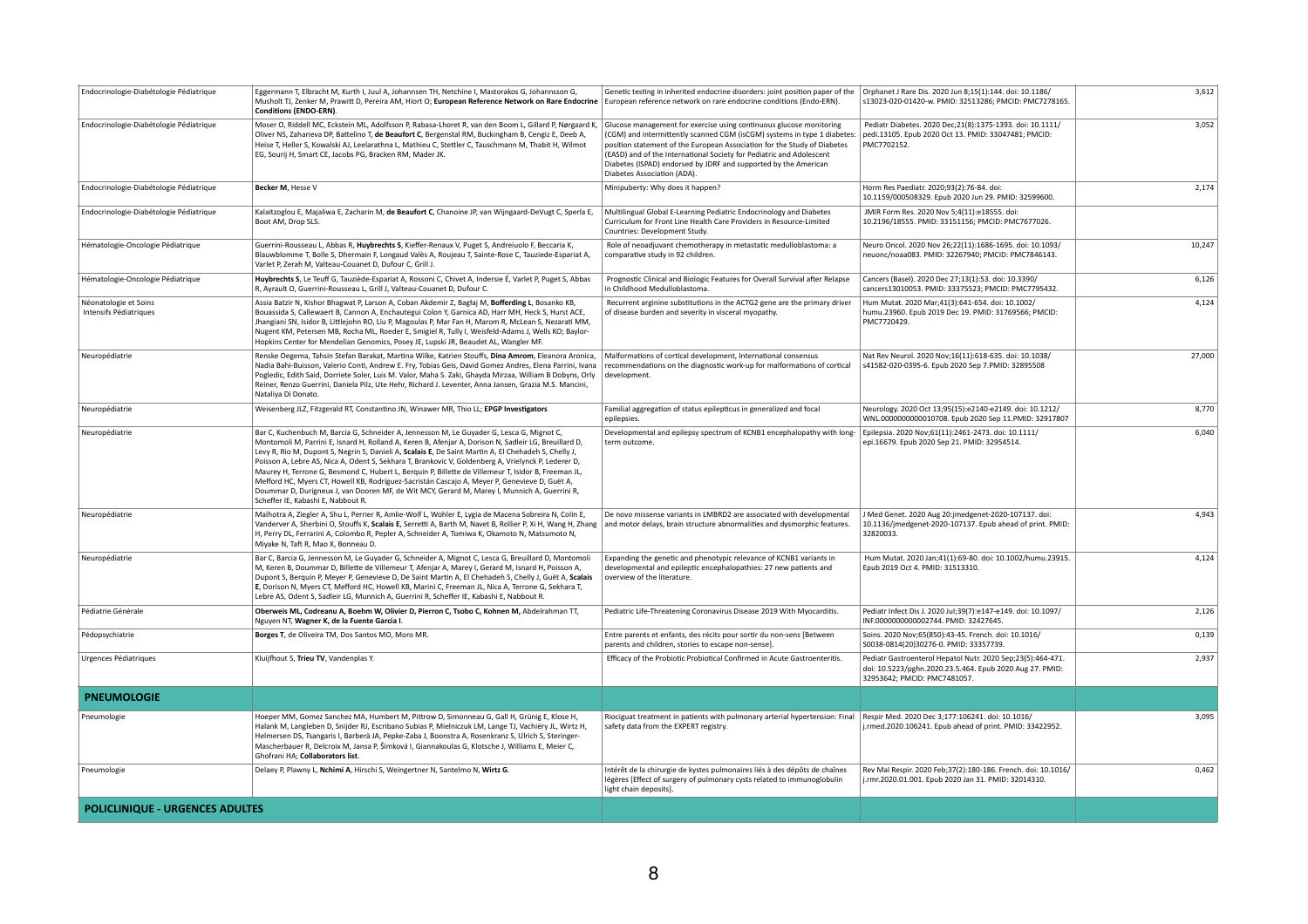| Endocrinologie-Diabétologie Pédiatrique         | Eggermann T, Elbracht M, Kurth I, Juul A, Johannsen TH, Netchine I, Mastorakos G, Johannsson G,<br>Musholt TJ, Zenker M, Prawitt D, Pereira AM, Hiort O; European Reference Network on Rare Endocrine<br><b>Conditions (ENDO-ERN).</b>                                                                                                                                                                                                                                                                                                                                                                                                                                                                                                                          | Genetic testing in inherited endocrine disorders: joint position paper of the<br>European reference network on rare endocrine conditions (Endo-ERN).                                                                                                                                                                                                                                                  | Orphanet J Rare Dis. 2020 Jun 8;15(1):144. doi: 10.1186/<br>s13023-020-01420-w. PMID: 32513286; PMCID: PMC7278165.                                      | 3,612  |
|-------------------------------------------------|-----------------------------------------------------------------------------------------------------------------------------------------------------------------------------------------------------------------------------------------------------------------------------------------------------------------------------------------------------------------------------------------------------------------------------------------------------------------------------------------------------------------------------------------------------------------------------------------------------------------------------------------------------------------------------------------------------------------------------------------------------------------|-------------------------------------------------------------------------------------------------------------------------------------------------------------------------------------------------------------------------------------------------------------------------------------------------------------------------------------------------------------------------------------------------------|---------------------------------------------------------------------------------------------------------------------------------------------------------|--------|
| Endocrinologie-Diabétologie Pédiatrique         | Moser O, Riddell MC, Eckstein ML, Adolfsson P, Rabasa-Lhoret R, van den Boom L, Gillard P, Nørgaard K,<br>Oliver NS, Zaharieva DP, Battelino T, de Beaufort C, Bergenstal RM, Buckingham B, Cengiz E, Deeb A,<br>Heise T, Heller S, Kowalski AJ, Leelarathna L, Mathieu C, Stettler C, Tauschmann M, Thabit H, Wilmot<br>EG, Sourij H, Smart CE, Jacobs PG, Bracken RM, Mader JK.                                                                                                                                                                                                                                                                                                                                                                               | Glucose management for exercise using continuous glucose monitoring<br>(CGM) and intermittently scanned CGM (isCGM) systems in type 1 diabetes:<br>position statement of the European Association for the Study of Diabetes<br>(EASD) and of the International Society for Pediatric and Adolescent<br>Diabetes (ISPAD) endorsed by JDRF and supported by the American<br>Diabetes Association (ADA). | Pediatr Diabetes. 2020 Dec; 21(8): 1375-1393. doi: 10.1111/<br>pedi.13105. Epub 2020 Oct 13. PMID: 33047481; PMCID:<br>PMC7702152.                      | 3,052  |
| Endocrinologie-Diabétologie Pédiatrique         | Becker M, Hesse V                                                                                                                                                                                                                                                                                                                                                                                                                                                                                                                                                                                                                                                                                                                                               | Minipuberty: Why does it happen?                                                                                                                                                                                                                                                                                                                                                                      | Horm Res Paediatr. 2020;93(2):76-84. doi:<br>10.1159/000508329. Epub 2020 Jun 29. PMID: 32599600.                                                       | 2,174  |
| Endocrinologie-Diabétologie Pédiatrique         | Kalaitzoglou E, Majaliwa E, Zacharin M, de Beaufort C, Chanoine JP, van Wijngaard-DeVugt C, Sperla E,<br>Boot AM, Drop SLS.                                                                                                                                                                                                                                                                                                                                                                                                                                                                                                                                                                                                                                     | Multilingual Global E-Learning Pediatric Endocrinology and Diabetes<br>Curriculum for Front Line Health Care Providers in Resource-Limited<br>Countries: Development Study.                                                                                                                                                                                                                           | JMIR Form Res. 2020 Nov 5;4(11):e18555. doi:<br>10.2196/18555. PMID: 33151156; PMCID: PMC7677026.                                                       |        |
| Hématologie-Oncologie Pédiatrique               | Guerrini-Rousseau L, Abbas R, Huybrechts S, Kieffer-Renaux V, Puget S, Andreiuolo F, Beccaria K,<br>Blauwblomme T, Bolle S, Dhermain F, Longaud Valès A, Roujeau T, Sainte-Rose C, Tauziede-Espariat A,<br>Varlet P, Zerah M, Valteau-Couanet D, Dufour C, Grill J.                                                                                                                                                                                                                                                                                                                                                                                                                                                                                             | Role of neoadjuvant chemotherapy in metastatic medulloblastoma: a<br>comparative study in 92 children.                                                                                                                                                                                                                                                                                                | Neuro Oncol. 2020 Nov 26;22(11):1686-1695. doi: 10.1093/<br>neuonc/noaa083. PMID: 32267940; PMCID: PMC7846143.                                          | 10,247 |
| Hématologie-Oncologie Pédiatrique               | Huybrechts S, Le Teuff G, Tauziède-Espariat A, Rossoni C, Chivet A, Indersie É, Varlet P, Puget S, Abbas<br>R, Ayrault O, Guerrini-Rousseau L, Grill J, Valteau-Couanet D, Dufour C.                                                                                                                                                                                                                                                                                                                                                                                                                                                                                                                                                                            | Prognostic Clinical and Biologic Features for Overall Survival after Relapse<br>in Childhood Medulloblastoma.                                                                                                                                                                                                                                                                                         | Cancers (Basel). 2020 Dec 27;13(1):53. doi: 10.3390/<br>cancers13010053. PMID: 33375523; PMCID: PMC7795432.                                             | 6,126  |
| Néonatologie et Soins<br>Intensifs Pédiatriques | Assia Batzir N, Kishor Bhagwat P, Larson A, Coban Akdemir Z, Bagłaj M, Bofferding L, Bosanko KB,<br>Bouassida S, Callewaert B, Cannon A, Enchautegui Colon Y, Garnica AD, Harr MH, Heck S, Hurst ACE,<br>Jhangiani SN, Isidor B, Littlejohn RO, Liu P, Magoulas P, Mar Fan H, Marom R, McLean S, Nezarati MM,<br>Nugent KM, Petersen MB, Rocha ML, Roeder E, Smigiel R, Tully I, Weisfeld-Adams J, Wells KO; Baylor-<br>Hopkins Center for Mendelian Genomics, Posey JE, Lupski JR, Beaudet AL, Wangler MF.                                                                                                                                                                                                                                                     | Recurrent arginine substitutions in the ACTG2 gene are the primary driver<br>of disease burden and severity in visceral myopathy.                                                                                                                                                                                                                                                                     | Hum Mutat. 2020 Mar;41(3):641-654. doi: 10.1002/<br>humu.23960. Epub 2019 Dec 19. PMID: 31769566; PMCID:<br>PMC7720429.                                 | 4,124  |
| Neuropédiatrie                                  | Renske Oegema, Tahsin Stefan Barakat, Martina Wilke, Katrien Stouffs, Dina Amrom, Eleanora Aronica,<br>Nadia Bahi-Buisson, Valerio Conti, Andrew E. Fry, Tobias Geis, David Gomez Andres, Elena Parrini, Ivana<br>Pogledic, Edith Said, Dorriete Soler, Luis M. Valor, Maha S. Zaki, Ghayda Mirzaa, William B Dobyns, Orly<br>Reiner, Renzo Guerrini, Daniela Pilz, Ute Hehr, Richard J. Leventer, Anna Jansen, Grazia M.S. Mancini,<br>Nataliya Di Donato.                                                                                                                                                                                                                                                                                                     | Malformations of cortical development, International consensus<br>recommendations on the diagnostic work-up for malformations of cortical<br>development.                                                                                                                                                                                                                                             | Nat Rev Neurol. 2020 Nov;16(11):618-635. doi: 10.1038/<br>s41582-020-0395-6. Epub 2020 Sep 7.PMID: 32895508                                             | 27,000 |
| Neuropédiatrie                                  | Weisenberg JLZ, Fitzgerald RT, Constantino JN, Winawer MR, Thio LL; EPGP Investigators                                                                                                                                                                                                                                                                                                                                                                                                                                                                                                                                                                                                                                                                          | Familial aggregation of status epilepticus in generalized and focal<br>epilepsies.                                                                                                                                                                                                                                                                                                                    | Neurology. 2020 Oct 13;95(15):e2140-e2149. doi: 10.1212/<br>WNL.00000000000010708. Epub 2020 Sep 11.PMID: 32917807                                      | 8,770  |
| Neuropédiatrie                                  | Bar C, Kuchenbuch M, Barcia G, Schneider A, Jennesson M, Le Guyader G, Lesca G, Mignot C,<br>Montomoli M, Parrini E, Isnard H, Rolland A, Keren B, Afenjar A, Dorison N, Sadleir LG, Breuillard D,<br>Levy R, Rio M, Dupont S, Negrin S, Danieli A, Scalais E, De Saint Martin A, El Chehadeh S, Chelly J,<br>Poisson A, Lebre AS, Nica A, Odent S, Sekhara T, Brankovic V, Goldenberg A, Vrielynck P, Lederer D,<br>Maurey H, Terrone G, Besmond C, Hubert L, Berquin P, Billette de Villemeur T, Isidor B, Freeman JL,<br>Mefford HC, Myers CT, Howell KB, Rodríguez-Sacristán Cascajo A, Meyer P, Genevieve D, Guët A,<br>Doummar D, Durigneux J, van Dooren MF, de Wit MCY, Gerard M, Marey I, Munnich A, Guerrini R,<br>Scheffer IE, Kabashi E, Nabbout R. | Developmental and epilepsy spectrum of KCNB1 encephalopathy with long-<br>term outcome.                                                                                                                                                                                                                                                                                                               | Epilepsia. 2020 Nov;61(11):2461-2473. doi: 10.1111/<br>epi.16679. Epub 2020 Sep 21. PMID: 32954514.                                                     | 6,040  |
| Neuropédiatrie                                  | Malhotra A, Ziegler A, Shu L, Perrier R, Amlie-Wolf L, Wohler E, Lygia de Macena Sobreira N, Colin E,<br>Vanderver A, Sherbini O, Stouffs K, Scalais E, Serretti A, Barth M, Navet B, Rollier P, Xi H, Wang H, Zhang<br>H, Perry DL, Ferrarini A, Colombo R, Pepler A, Schneider A, Tomiwa K, Okamoto N, Matsumoto N,<br>Miyake N, Taft R, Mao X, Bonneau D.                                                                                                                                                                                                                                                                                                                                                                                                    | De novo missense variants in LMBRD2 are associated with developmental<br>and motor delays, brain structure abnormalities and dysmorphic features.                                                                                                                                                                                                                                                     | J Med Genet. 2020 Aug 20:jmedgenet-2020-107137. doi:<br>10.1136/jmedgenet-2020-107137. Epub ahead of print. PMID:<br>32820033.                          | 4,943  |
| Neuropédiatrie                                  | Bar C, Barcia G, Jennesson M, Le Guyader G, Schneider A, Mignot C, Lesca G, Breuillard D, Montomoli<br>M, Keren B, Doummar D, Billette de Villemeur T, Afenjar A, Marey I, Gerard M, Isnard H, Poisson A,<br>Dupont S, Berquin P, Meyer P, Genevieve D, De Saint Martin A, El Chehadeh S, Chelly J, Guët A, Scalais<br>E, Dorison N, Myers CT, Mefford HC, Howell KB, Marini C, Freeman JL, Nica A, Terrone G, Sekhara T,<br>Lebre AS, Odent S, Sadleir LG, Munnich A, Guerrini R, Scheffer IE, Kabashi E, Nabbout R.                                                                                                                                                                                                                                           | Expanding the genetic and phenotypic relevance of KCNB1 variants in<br>developmental and epileptic encephalopathies: 27 new patients and<br>overview of the literature.                                                                                                                                                                                                                               | Hum Mutat. 2020 Jan;41(1):69-80. doi: 10.1002/humu.23915.<br>Epub 2019 Oct 4. PMID: 31513310.                                                           | 4,124  |
| Pédiatrie Générale                              | Oberweis ML, Codreanu A, Boehm W, Olivier D, Pierron C, Tsobo C, Kohnen M, Abdelrahman TT,<br>Nguyen NT, Wagner K, de la Fuente Garcia I.                                                                                                                                                                                                                                                                                                                                                                                                                                                                                                                                                                                                                       | Pediatric Life-Threatening Coronavirus Disease 2019 With Myocarditis.                                                                                                                                                                                                                                                                                                                                 | Pediatr Infect Dis J. 2020 Jul;39(7):e147-e149. doi: 10.1097/<br>INF.0000000000002744. PMID: 32427645.                                                  | 2,126  |
| Pédopsychiatrie                                 | Borges T, de Oliveira TM, Dos Santos MO, Moro MR.                                                                                                                                                                                                                                                                                                                                                                                                                                                                                                                                                                                                                                                                                                               | Entre parents et enfants, des récits pour sortir du non-sens [Between<br>parents and children, stories to escape non-sense].                                                                                                                                                                                                                                                                          | Soins. 2020 Nov;65(850):43-45. French. doi: 10.1016/<br>S0038-0814(20)30276-0. PMID: 33357739.                                                          | 0,139  |
| Urgences Pédiatriques                           | Kluijfhout S, Trieu TV, Vandenplas Y.                                                                                                                                                                                                                                                                                                                                                                                                                                                                                                                                                                                                                                                                                                                           | Efficacy of the Probiotic Probiotical Confirmed in Acute Gastroenteritis.                                                                                                                                                                                                                                                                                                                             | Pediatr Gastroenterol Hepatol Nutr. 2020 Sep;23(5):464-471.<br>doi: 10.5223/pghn.2020.23.5.464. Epub 2020 Aug 27. PMID:<br>32953642; PMCID: PMC7481057. | 2,937  |
| <b>PNEUMOLOGIE</b>                              |                                                                                                                                                                                                                                                                                                                                                                                                                                                                                                                                                                                                                                                                                                                                                                 |                                                                                                                                                                                                                                                                                                                                                                                                       |                                                                                                                                                         |        |
| Pneumologie                                     | Hoeper MM, Gomez Sanchez MA, Humbert M, Pittrow D, Simonneau G, Gall H, Grünig E, Klose H,<br>Halank M, Langleben D, Snijder RJ, Escribano Subias P, Mielniczuk LM, Lange TJ, Vachiéry JL, Wirtz H,<br>Helmersen DS, Tsangaris I, Barberà JA, Pepke-Zaba J, Boonstra A, Rosenkranz S, Ulrich S, Steringer-<br>Mascherbauer R, Delcroix M, Jansa P, Šimková I, Giannakoulas G, Klotsche J, Williams E, Meier C,<br>Ghofrani HA; Collaborators list.                                                                                                                                                                                                                                                                                                              | Riociguat treatment in patients with pulmonary arterial hypertension: Final<br>safety data from the EXPERT registry.                                                                                                                                                                                                                                                                                  | Respir Med. 2020 Dec 3;177:106241. doi: 10.1016/<br>j.rmed.2020.106241. Epub ahead of print. PMID: 33422952.                                            | 3,095  |
| Pneumologie                                     | Delaey P, Plawny L, Nchimi A, Hirschi S, Weingertner N, Santelmo N, Wirtz G.                                                                                                                                                                                                                                                                                                                                                                                                                                                                                                                                                                                                                                                                                    | Intérêt de la chirurgie de kystes pulmonaires liés à des dépôts de chaînes<br>légères [Effect of surgery of pulmonary cysts related to immunoglobulin<br>light chain deposits].                                                                                                                                                                                                                       | Rev Mal Respir. 2020 Feb; 37(2): 180-186. French. doi: 10.1016/<br>j.rmr.2020.01.001. Epub 2020 Jan 31. PMID: 32014310.                                 | 0,462  |
| <b>POLICLINIQUE - URGENCES ADULTES</b>          |                                                                                                                                                                                                                                                                                                                                                                                                                                                                                                                                                                                                                                                                                                                                                                 |                                                                                                                                                                                                                                                                                                                                                                                                       |                                                                                                                                                         |        |